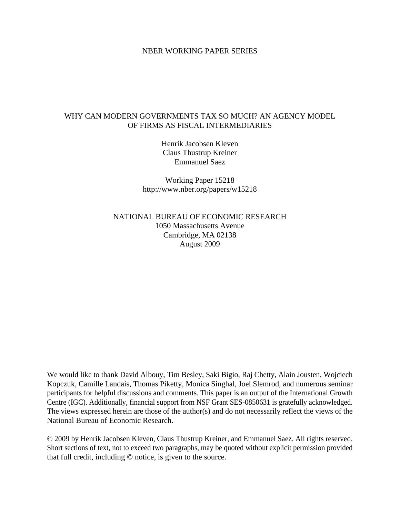# NBER WORKING PAPER SERIES

# WHY CAN MODERN GOVERNMENTS TAX SO MUCH? AN AGENCY MODEL OF FIRMS AS FISCAL INTERMEDIARIES

Henrik Jacobsen Kleven Claus Thustrup Kreiner Emmanuel Saez

Working Paper 15218 http://www.nber.org/papers/w15218

NATIONAL BUREAU OF ECONOMIC RESEARCH 1050 Massachusetts Avenue Cambridge, MA 02138 August 2009

We would like to thank David Albouy, Tim Besley, Saki Bigio, Raj Chetty, Alain Jousten, Wojciech Kopczuk, Camille Landais, Thomas Piketty, Monica Singhal, Joel Slemrod, and numerous seminar participants for helpful discussions and comments. This paper is an output of the International Growth Centre (IGC). Additionally, financial support from NSF Grant SES-0850631 is gratefully acknowledged. The views expressed herein are those of the author(s) and do not necessarily reflect the views of the National Bureau of Economic Research.

© 2009 by Henrik Jacobsen Kleven, Claus Thustrup Kreiner, and Emmanuel Saez. All rights reserved. Short sections of text, not to exceed two paragraphs, may be quoted without explicit permission provided that full credit, including © notice, is given to the source.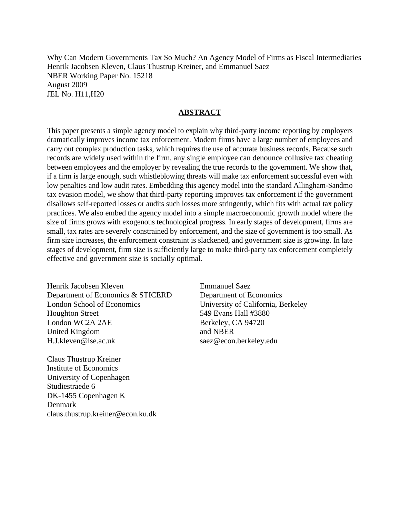Why Can Modern Governments Tax So Much? An Agency Model of Firms as Fiscal Intermediaries Henrik Jacobsen Kleven, Claus Thustrup Kreiner, and Emmanuel Saez NBER Working Paper No. 15218 August 2009 JEL No. H11,H20

# **ABSTRACT**

This paper presents a simple agency model to explain why third-party income reporting by employers dramatically improves income tax enforcement. Modern firms have a large number of employees and carry out complex production tasks, which requires the use of accurate business records. Because such records are widely used within the firm, any single employee can denounce collusive tax cheating between employees and the employer by revealing the true records to the government. We show that, if a firm is large enough, such whistleblowing threats will make tax enforcement successful even with low penalties and low audit rates. Embedding this agency model into the standard Allingham-Sandmo tax evasion model, we show that third-party reporting improves tax enforcement if the government disallows self-reported losses or audits such losses more stringently, which fits with actual tax policy practices. We also embed the agency model into a simple macroeconomic growth model where the size of firms grows with exogenous technological progress. In early stages of development, firms are small, tax rates are severely constrained by enforcement, and the size of government is too small. As firm size increases, the enforcement constraint is slackened, and government size is growing. In late stages of development, firm size is sufficiently large to make third-party tax enforcement completely effective and government size is socially optimal.

Henrik Jacobsen Kleven Department of Economics & STICERD London School of Economics Houghton Street London WC2A 2AE United Kingdom H.J.kleven@lse.ac.uk

Claus Thustrup Kreiner Institute of Economics University of Copenhagen Studiestraede 6 DK-1455 Copenhagen K Denmark claus.thustrup.kreiner@econ.ku.dk Emmanuel Saez Department of Economics University of California, Berkeley 549 Evans Hall #3880 Berkeley, CA 94720 and NBER saez@econ.berkeley.edu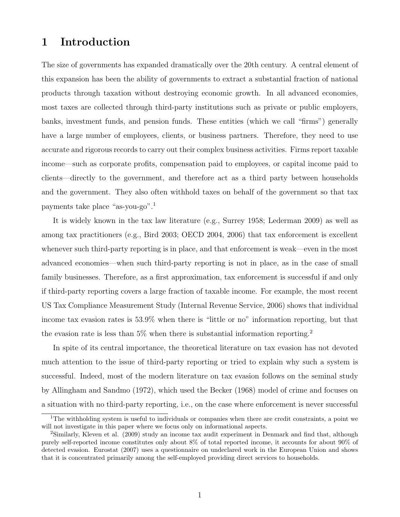# 1 Introduction

The size of governments has expanded dramatically over the 20th century. A central element of this expansion has been the ability of governments to extract a substantial fraction of national products through taxation without destroying economic growth. In all advanced economies, most taxes are collected through third-party institutions such as private or public employers, banks, investment funds, and pension funds. These entities (which we call "firms") generally have a large number of employees, clients, or business partners. Therefore, they need to use accurate and rigorous records to carry out their complex business activities. Firms report taxable income—such as corporate profits, compensation paid to employees, or capital income paid to clients—directly to the government, and therefore act as a third party between households and the government. They also often withhold taxes on behalf of the government so that tax payments take place "as-you-go".<sup>1</sup>

It is widely known in the tax law literature (e.g., Surrey 1958; Lederman 2009) as well as among tax practitioners (e.g., Bird 2003; OECD 2004, 2006) that tax enforcement is excellent whenever such third-party reporting is in place, and that enforcement is weak—even in the most advanced economies—when such third-party reporting is not in place, as in the case of small family businesses. Therefore, as a first approximation, tax enforcement is successful if and only if third-party reporting covers a large fraction of taxable income. For example, the most recent US Tax Compliance Measurement Study (Internal Revenue Service, 2006) shows that individual income tax evasion rates is 53.9% when there is "little or no" information reporting, but that the evasion rate is less than  $5\%$  when there is substantial information reporting.<sup>2</sup>

In spite of its central importance, the theoretical literature on tax evasion has not devoted much attention to the issue of third-party reporting or tried to explain why such a system is successful. Indeed, most of the modern literature on tax evasion follows on the seminal study by Allingham and Sandmo (1972), which used the Becker (1968) model of crime and focuses on a situation with no third-party reporting, i.e., on the case where enforcement is never successful

<sup>&</sup>lt;sup>1</sup>The withholding system is useful to individuals or companies when there are credit constraints, a point we will not investigate in this paper where we focus only on informational aspects.

<sup>2</sup>Similarly, Kleven et al. (2009) study an income tax audit experiment in Denmark and find that, although purely self-reported income constitutes only about 8% of total reported income, it accounts for about 90% of detected evasion. Eurostat (2007) uses a questionnaire on undeclared work in the European Union and shows that it is concentrated primarily among the self-employed providing direct services to households.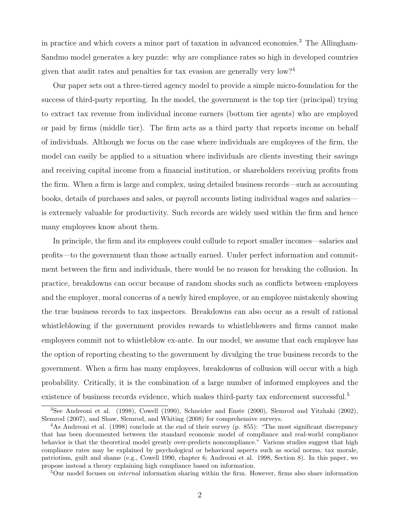in practice and which covers a minor part of taxation in advanced economies.<sup>3</sup> The Allingham-Sandmo model generates a key puzzle: why are compliance rates so high in developed countries given that audit rates and penalties for tax evasion are generally very low?<sup>4</sup>

Our paper sets out a three-tiered agency model to provide a simple micro-foundation for the success of third-party reporting. In the model, the government is the top tier (principal) trying to extract tax revenue from individual income earners (bottom tier agents) who are employed or paid by firms (middle tier). The firm acts as a third party that reports income on behalf of individuals. Although we focus on the case where individuals are employees of the firm, the model can easily be applied to a situation where individuals are clients investing their savings and receiving capital income from a financial institution, or shareholders receiving profits from the firm. When a firm is large and complex, using detailed business records—such as accounting books, details of purchases and sales, or payroll accounts listing individual wages and salaries is extremely valuable for productivity. Such records are widely used within the firm and hence many employees know about them.

In principle, the firm and its employees could collude to report smaller incomes—salaries and profits—to the government than those actually earned. Under perfect information and commitment between the firm and individuals, there would be no reason for breaking the collusion. In practice, breakdowns can occur because of random shocks such as conflicts between employees and the employer, moral concerns of a newly hired employee, or an employee mistakenly showing the true business records to tax inspectors. Breakdowns can also occur as a result of rational whistleblowing if the government provides rewards to whistleblowers and firms cannot make employees commit not to whistleblow ex-ante. In our model, we assume that each employee has the option of reporting cheating to the government by divulging the true business records to the government. When a firm has many employees, breakdowns of collusion will occur with a high probability. Critically, it is the combination of a large number of informed employees and the existence of business records evidence, which makes third-party tax enforcement successful.<sup>5</sup>

<sup>3</sup>See Andreoni et al. (1998), Cowell (1990), Schneider and Enste (2000), Slemrod and Yitzhaki (2002), Slemrod (2007), and Shaw, Slemrod, and Whiting (2008) for comprehensive surveys.

<sup>4</sup>As Andreoni et al. (1998) conclude at the end of their survey (p. 855): "The most significant discrepancy that has been documented between the standard economic model of compliance and real-world compliance behavior is that the theoretical model greatly over-predicts noncompliance." Various studies suggest that high compliance rates may be explained by psychological or behavioral aspects such as social norms, tax morale, patriotism, guilt and shame (e.g., Cowell 1990, chapter 6; Andreoni et al. 1998, Section 8). In this paper, we propose instead a theory explaining high compliance based on information.

 $5$ Our model focuses on *internal* information sharing within the firm. However, firms also share information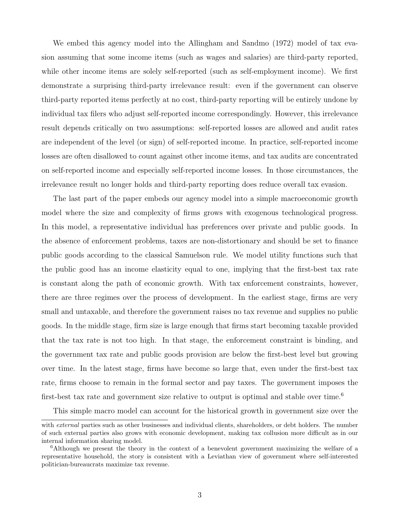We embed this agency model into the Allingham and Sandmo (1972) model of tax evasion assuming that some income items (such as wages and salaries) are third-party reported, while other income items are solely self-reported (such as self-employment income). We first demonstrate a surprising third-party irrelevance result: even if the government can observe third-party reported items perfectly at no cost, third-party reporting will be entirely undone by individual tax filers who adjust self-reported income correspondingly. However, this irrelevance result depends critically on two assumptions: self-reported losses are allowed and audit rates are independent of the level (or sign) of self-reported income. In practice, self-reported income losses are often disallowed to count against other income items, and tax audits are concentrated on self-reported income and especially self-reported income losses. In those circumstances, the irrelevance result no longer holds and third-party reporting does reduce overall tax evasion.

The last part of the paper embeds our agency model into a simple macroeconomic growth model where the size and complexity of firms grows with exogenous technological progress. In this model, a representative individual has preferences over private and public goods. In the absence of enforcement problems, taxes are non-distortionary and should be set to finance public goods according to the classical Samuelson rule. We model utility functions such that the public good has an income elasticity equal to one, implying that the first-best tax rate is constant along the path of economic growth. With tax enforcement constraints, however, there are three regimes over the process of development. In the earliest stage, firms are very small and untaxable, and therefore the government raises no tax revenue and supplies no public goods. In the middle stage, firm size is large enough that firms start becoming taxable provided that the tax rate is not too high. In that stage, the enforcement constraint is binding, and the government tax rate and public goods provision are below the first-best level but growing over time. In the latest stage, firms have become so large that, even under the first-best tax rate, firms choose to remain in the formal sector and pay taxes. The government imposes the first-best tax rate and government size relative to output is optimal and stable over time.<sup>6</sup>

This simple macro model can account for the historical growth in government size over the

with *external* parties such as other businesses and individual clients, shareholders, or debt holders. The number of such external parties also grows with economic development, making tax collusion more difficult as in our internal information sharing model.

<sup>6</sup>Although we present the theory in the context of a benevolent government maximizing the welfare of a representative household, the story is consistent with a Leviathan view of government where self-interested politician-bureaucrats maximize tax revenue.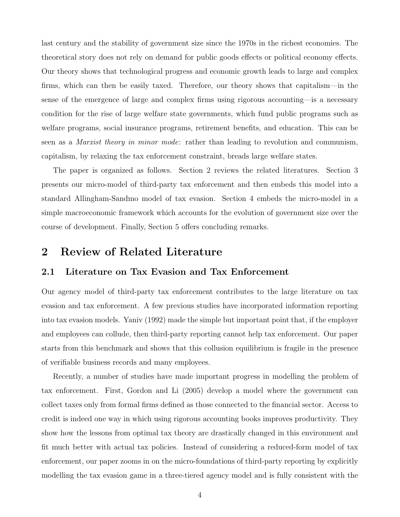last century and the stability of government size since the 1970s in the richest economies. The theoretical story does not rely on demand for public goods effects or political economy effects. Our theory shows that technological progress and economic growth leads to large and complex firms, which can then be easily taxed. Therefore, our theory shows that capitalism—in the sense of the emergence of large and complex firms using rigorous accounting—is a necessary condition for the rise of large welfare state governments, which fund public programs such as welfare programs, social insurance programs, retirement benefits, and education. This can be seen as a *Marxist theory in minor mode*: rather than leading to revolution and communism, capitalism, by relaxing the tax enforcement constraint, breads large welfare states.

The paper is organized as follows. Section 2 reviews the related literatures. Section 3 presents our micro-model of third-party tax enforcement and then embeds this model into a standard Allingham-Sandmo model of tax evasion. Section 4 embeds the micro-model in a simple macroeconomic framework which accounts for the evolution of government size over the course of development. Finally, Section 5 offers concluding remarks.

# 2 Review of Related Literature

# 2.1 Literature on Tax Evasion and Tax Enforcement

Our agency model of third-party tax enforcement contributes to the large literature on tax evasion and tax enforcement. A few previous studies have incorporated information reporting into tax evasion models. Yaniv (1992) made the simple but important point that, if the employer and employees can collude, then third-party reporting cannot help tax enforcement. Our paper starts from this benchmark and shows that this collusion equilibrium is fragile in the presence of verifiable business records and many employees.

Recently, a number of studies have made important progress in modelling the problem of tax enforcement. First, Gordon and Li (2005) develop a model where the government can collect taxes only from formal firms defined as those connected to the financial sector. Access to credit is indeed one way in which using rigorous accounting books improves productivity. They show how the lessons from optimal tax theory are drastically changed in this environment and fit much better with actual tax policies. Instead of considering a reduced-form model of tax enforcement, our paper zooms in on the micro-foundations of third-party reporting by explicitly modelling the tax evasion game in a three-tiered agency model and is fully consistent with the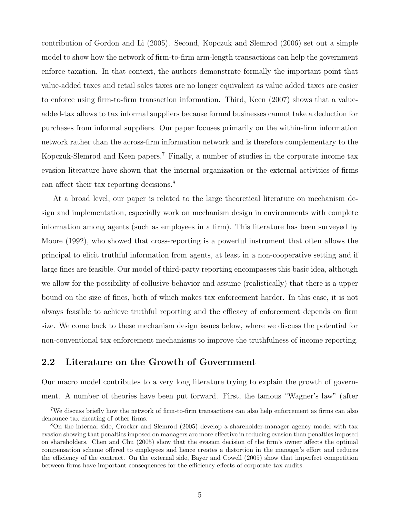contribution of Gordon and Li (2005). Second, Kopczuk and Slemrod (2006) set out a simple model to show how the network of firm-to-firm arm-length transactions can help the government enforce taxation. In that context, the authors demonstrate formally the important point that value-added taxes and retail sales taxes are no longer equivalent as value added taxes are easier to enforce using firm-to-firm transaction information. Third, Keen (2007) shows that a valueadded-tax allows to tax informal suppliers because formal businesses cannot take a deduction for purchases from informal suppliers. Our paper focuses primarily on the within-firm information network rather than the across-firm information network and is therefore complementary to the Kopczuk-Slemrod and Keen papers.<sup>7</sup> Finally, a number of studies in the corporate income tax evasion literature have shown that the internal organization or the external activities of firms can affect their tax reporting decisions.<sup>8</sup>

At a broad level, our paper is related to the large theoretical literature on mechanism design and implementation, especially work on mechanism design in environments with complete information among agents (such as employees in a firm). This literature has been surveyed by Moore (1992), who showed that cross-reporting is a powerful instrument that often allows the principal to elicit truthful information from agents, at least in a non-cooperative setting and if large fines are feasible. Our model of third-party reporting encompasses this basic idea, although we allow for the possibility of collusive behavior and assume (realistically) that there is a upper bound on the size of fines, both of which makes tax enforcement harder. In this case, it is not always feasible to achieve truthful reporting and the efficacy of enforcement depends on firm size. We come back to these mechanism design issues below, where we discuss the potential for non-conventional tax enforcement mechanisms to improve the truthfulness of income reporting.

# 2.2 Literature on the Growth of Government

Our macro model contributes to a very long literature trying to explain the growth of government. A number of theories have been put forward. First, the famous "Wagner's law" (after

<sup>7</sup>We discuss briefly how the network of firm-to-firm transactions can also help enforcement as firms can also denounce tax cheating of other firms.

<sup>8</sup>On the internal side, Crocker and Slemrod (2005) develop a shareholder-manager agency model with tax evasion showing that penalties imposed on managers are more effective in reducing evasion than penalties imposed on shareholders. Chen and Chu (2005) show that the evasion decision of the firm's owner affects the optimal compensation scheme offered to employees and hence creates a distortion in the manager's effort and reduces the efficiency of the contract. On the external side, Bayer and Cowell (2005) show that imperfect competition between firms have important consequences for the efficiency effects of corporate tax audits.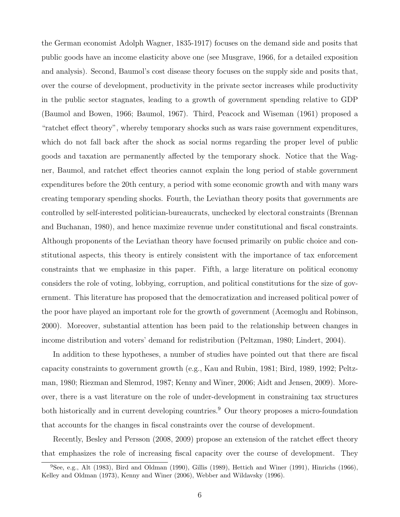the German economist Adolph Wagner, 1835-1917) focuses on the demand side and posits that public goods have an income elasticity above one (see Musgrave, 1966, for a detailed exposition and analysis). Second, Baumol's cost disease theory focuses on the supply side and posits that, over the course of development, productivity in the private sector increases while productivity in the public sector stagnates, leading to a growth of government spending relative to GDP (Baumol and Bowen, 1966; Baumol, 1967). Third, Peacock and Wiseman (1961) proposed a "ratchet effect theory", whereby temporary shocks such as wars raise government expenditures, which do not fall back after the shock as social norms regarding the proper level of public goods and taxation are permanently affected by the temporary shock. Notice that the Wagner, Baumol, and ratchet effect theories cannot explain the long period of stable government expenditures before the 20th century, a period with some economic growth and with many wars creating temporary spending shocks. Fourth, the Leviathan theory posits that governments are controlled by self-interested politician-bureaucrats, unchecked by electoral constraints (Brennan and Buchanan, 1980), and hence maximize revenue under constitutional and fiscal constraints. Although proponents of the Leviathan theory have focused primarily on public choice and constitutional aspects, this theory is entirely consistent with the importance of tax enforcement constraints that we emphasize in this paper. Fifth, a large literature on political economy considers the role of voting, lobbying, corruption, and political constitutions for the size of government. This literature has proposed that the democratization and increased political power of the poor have played an important role for the growth of government (Acemoglu and Robinson, 2000). Moreover, substantial attention has been paid to the relationship between changes in income distribution and voters' demand for redistribution (Peltzman, 1980; Lindert, 2004).

In addition to these hypotheses, a number of studies have pointed out that there are fiscal capacity constraints to government growth (e.g., Kau and Rubin, 1981; Bird, 1989, 1992; Peltzman, 1980; Riezman and Slemrod, 1987; Kenny and Winer, 2006; Aidt and Jensen, 2009). Moreover, there is a vast literature on the role of under-development in constraining tax structures both historically and in current developing countries.<sup>9</sup> Our theory proposes a micro-foundation that accounts for the changes in fiscal constraints over the course of development.

Recently, Besley and Persson (2008, 2009) propose an extension of the ratchet effect theory that emphasizes the role of increasing fiscal capacity over the course of development. They

 $9$ See, e.g., Alt (1983), Bird and Oldman (1990), Gillis (1989), Hettich and Winer (1991), Hinrichs (1966), Kelley and Oldman (1973), Kenny and Winer (2006), Webber and Wildavsky (1996).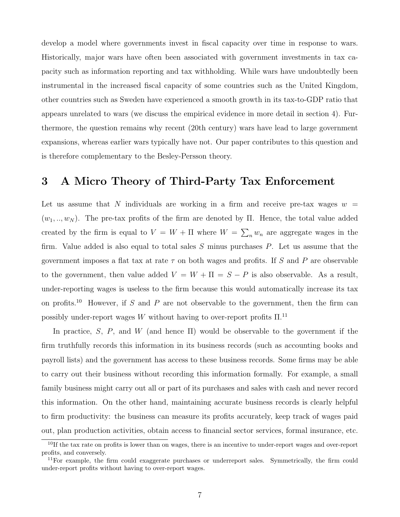develop a model where governments invest in fiscal capacity over time in response to wars. Historically, major wars have often been associated with government investments in tax capacity such as information reporting and tax withholding. While wars have undoubtedly been instrumental in the increased fiscal capacity of some countries such as the United Kingdom, other countries such as Sweden have experienced a smooth growth in its tax-to-GDP ratio that appears unrelated to wars (we discuss the empirical evidence in more detail in section 4). Furthermore, the question remains why recent (20th century) wars have lead to large government expansions, whereas earlier wars typically have not. Our paper contributes to this question and is therefore complementary to the Besley-Persson theory.

# 3 A Micro Theory of Third-Party Tax Enforcement

Let us assume that N individuals are working in a firm and receive pre-tax wages  $w =$  $(w_1, ..., w_N)$ . The pre-tax profits of the firm are denoted by Π. Hence, the total value added created by the firm is equal to  $V = W + \Pi$  where  $W = \sum_{n} w_n$  are aggregate wages in the firm. Value added is also equal to total sales  $S$  minus purchases  $P$ . Let us assume that the government imposes a flat tax at rate  $\tau$  on both wages and profits. If S and P are observable to the government, then value added  $V = W + \Pi = S - P$  is also observable. As a result, under-reporting wages is useless to the firm because this would automatically increase its tax on profits.<sup>10</sup> However, if S and P are not observable to the government, then the firm can possibly under-report wages  $W$  without having to over-report profits  $\Pi^{.11}$ 

In practice, S, P, and W (and hence  $\Pi$ ) would be observable to the government if the firm truthfully records this information in its business records (such as accounting books and payroll lists) and the government has access to these business records. Some firms may be able to carry out their business without recording this information formally. For example, a small family business might carry out all or part of its purchases and sales with cash and never record this information. On the other hand, maintaining accurate business records is clearly helpful to firm productivity: the business can measure its profits accurately, keep track of wages paid out, plan production activities, obtain access to financial sector services, formal insurance, etc.

 $10$ If the tax rate on profits is lower than on wages, there is an incentive to under-report wages and over-report profits, and conversely.

 $11$  For example, the firm could exaggerate purchases or underreport sales. Symmetrically, the firm could under-report profits without having to over-report wages.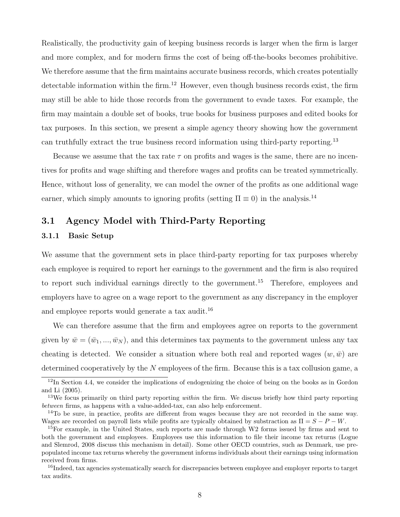Realistically, the productivity gain of keeping business records is larger when the firm is larger and more complex, and for modern firms the cost of being off-the-books becomes prohibitive. We therefore assume that the firm maintains accurate business records, which creates potentially detectable information within the firm.<sup>12</sup> However, even though business records exist, the firm may still be able to hide those records from the government to evade taxes. For example, the firm may maintain a double set of books, true books for business purposes and edited books for tax purposes. In this section, we present a simple agency theory showing how the government can truthfully extract the true business record information using third-party reporting.<sup>13</sup>

Because we assume that the tax rate  $\tau$  on profits and wages is the same, there are no incentives for profits and wage shifting and therefore wages and profits can be treated symmetrically. Hence, without loss of generality, we can model the owner of the profits as one additional wage earner, which simply amounts to ignoring profits (setting  $\Pi \equiv 0$ ) in the analysis.<sup>14</sup>

# 3.1 Agency Model with Third-Party Reporting

# 3.1.1 Basic Setup

We assume that the government sets in place third-party reporting for tax purposes whereby each employee is required to report her earnings to the government and the firm is also required to report such individual earnings directly to the government.<sup>15</sup> Therefore, employees and employers have to agree on a wage report to the government as any discrepancy in the employer and employee reports would generate a tax audit.<sup>16</sup>

We can therefore assume that the firm and employees agree on reports to the government given by  $\bar{w} = (\bar{w}_1, ..., \bar{w}_N)$ , and this determines tax payments to the government unless any tax cheating is detected. We consider a situation where both real and reported wages  $(w,\bar{w})$  are determined cooperatively by the  $N$  employees of the firm. Because this is a tax collusion game, a

 $12$ In Section 4.4, we consider the implications of endogenizing the choice of being on the books as in Gordon and Li (2005).

<sup>&</sup>lt;sup>13</sup>We focus primarily on third party reporting *within* the firm. We discuss briefly how third party reporting between firms, as happens with a value-added-tax, can also help enforcement.

<sup>&</sup>lt;sup>14</sup>To be sure, in practice, profits are different from wages because they are not recorded in the same way. Wages are recorded on payroll lists while profits are typically obtained by substraction as  $\Pi = S - P - W$ .

<sup>&</sup>lt;sup>15</sup>For example, in the United States, such reports are made through W2 forms issued by firms and sent to both the government and employees. Employees use this information to file their income tax returns (Logue and Slemrod, 2008 discuss this mechanism in detail). Some other OECD countries, such as Denmark, use prepopulated income tax returns whereby the government informs individuals about their earnings using information received from firms.

<sup>16</sup>Indeed, tax agencies systematically search for discrepancies between employee and employer reports to target tax audits.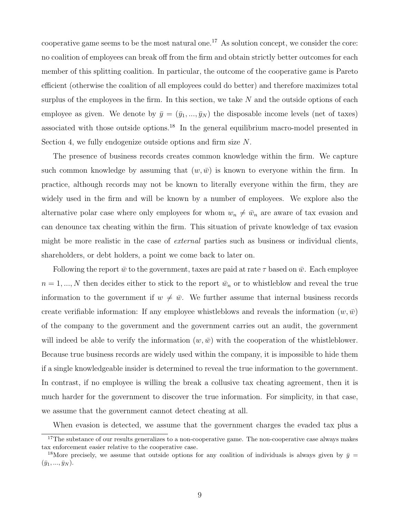cooperative game seems to be the most natural one.<sup>17</sup> As solution concept, we consider the core: no coalition of employees can break off from the firm and obtain strictly better outcomes for each member of this splitting coalition. In particular, the outcome of the cooperative game is Pareto efficient (otherwise the coalition of all employees could do better) and therefore maximizes total surplus of the employees in the firm. In this section, we take  $N$  and the outside options of each employee as given. We denote by  $\bar{y} = (\bar{y}_1, ..., \bar{y}_N)$  the disposable income levels (net of taxes) associated with those outside options.<sup>18</sup> In the general equilibrium macro-model presented in Section 4, we fully endogenize outside options and firm size N.

The presence of business records creates common knowledge within the firm. We capture such common knowledge by assuming that  $(w,\bar{w})$  is known to everyone within the firm. In practice, although records may not be known to literally everyone within the firm, they are widely used in the firm and will be known by a number of employees. We explore also the alternative polar case where only employees for whom  $w_n \neq \bar{w}_n$  are aware of tax evasion and can denounce tax cheating within the firm. This situation of private knowledge of tax evasion might be more realistic in the case of external parties such as business or individual clients, shareholders, or debt holders, a point we come back to later on.

Following the report  $\bar{w}$  to the government, taxes are paid at rate  $\tau$  based on  $\bar{w}$ . Each employee  $n = 1, ..., N$  then decides either to stick to the report  $\bar{w}_n$  or to whistleblow and reveal the true information to the government if  $w \neq \bar{w}$ . We further assume that internal business records create verifiable information: If any employee whistleblows and reveals the information  $(w,\bar{w})$ of the company to the government and the government carries out an audit, the government will indeed be able to verify the information  $(w,\bar{w})$  with the cooperation of the whistleblower. Because true business records are widely used within the company, it is impossible to hide them if a single knowledgeable insider is determined to reveal the true information to the government. In contrast, if no employee is willing the break a collusive tax cheating agreement, then it is much harder for the government to discover the true information. For simplicity, in that case, we assume that the government cannot detect cheating at all.

When evasion is detected, we assume that the government charges the evaded tax plus a

<sup>&</sup>lt;sup>17</sup>The substance of our results generalizes to a non-cooperative game. The non-cooperative case always makes tax enforcement easier relative to the cooperative case.

<sup>&</sup>lt;sup>18</sup>More precisely, we assume that outside options for any coalition of individuals is always given by  $\bar{y} =$  $(\bar{y}_1, ..., \bar{y}_N).$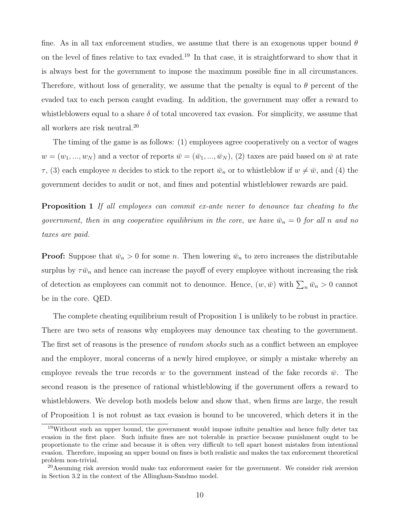fine. As in all tax enforcement studies, we assume that there is an exogenous upper bound  $\theta$ on the level of fines relative to tax evaded.<sup>19</sup> In that case, it is straightforward to show that it is always best for the government to impose the maximum possible fine in all circumstances. Therefore, without loss of generality, we assume that the penalty is equal to  $\theta$  percent of the evaded tax to each person caught evading. In addition, the government may offer a reward to whistleblowers equal to a share  $\delta$  of total uncovered tax evasion. For simplicity, we assume that all workers are risk neutral.<sup>20</sup>

The timing of the game is as follows: (1) employees agree cooperatively on a vector of wages  $w = (w_1, ..., w_N)$  and a vector of reports  $\overline{w} = (\overline{w}_1, ..., \overline{w}_N)$ , (2) taxes are paid based on  $\overline{w}$  at rate  $\tau$ , (3) each employee *n* decides to stick to the report  $\bar{w}_n$  or to whistleblow if  $w \neq \bar{w}$ , and (4) the government decides to audit or not, and fines and potential whistleblower rewards are paid.

**Proposition 1** If all employees can commit ex-ante never to denounce tax cheating to the government, then in any cooperative equilibrium in the core, we have  $\bar{w}_n = 0$  for all n and no taxes are paid.

**Proof:** Suppose that  $\bar{w}_n > 0$  for some n. Then lowering  $\bar{w}_n$  to zero increases the distributable surplus by  $\tau \bar{w}_n$  and hence can increase the payoff of every employee without increasing the risk of detection as employees can commit not to denounce. Hence,  $(w, \bar{w})$  with  $\sum_{n} \bar{w}_n > 0$  cannot be in the core. QED.

The complete cheating equilibrium result of Proposition 1 is unlikely to be robust in practice. There are two sets of reasons why employees may denounce tax cheating to the government. The first set of reasons is the presence of *random shocks* such as a conflict between an employee and the employer, moral concerns of a newly hired employee, or simply a mistake whereby an employee reveals the true records w to the government instead of the fake records  $\bar{w}$ . The second reason is the presence of rational whistleblowing if the government offers a reward to whistleblowers. We develop both models below and show that, when firms are large, the result of Proposition 1 is not robust as tax evasion is bound to be uncovered, which deters it in the

<sup>&</sup>lt;sup>19</sup>Without such an upper bound, the government would impose infinite penalties and hence fully deter tax evasion in the first place. Such infinite fines are not tolerable in practice because punishment ought to be proportionate to the crime and because it is often very difficult to tell apart honest mistakes from intentional evasion. Therefore, imposing an upper bound on fines is both realistic and makes the tax enforcement theoretical problem non-trivial.

<sup>20</sup>Assuming risk aversion would make tax enforcement easier for the government. We consider risk aversion in Section 3.2 in the context of the Allingham-Sandmo model.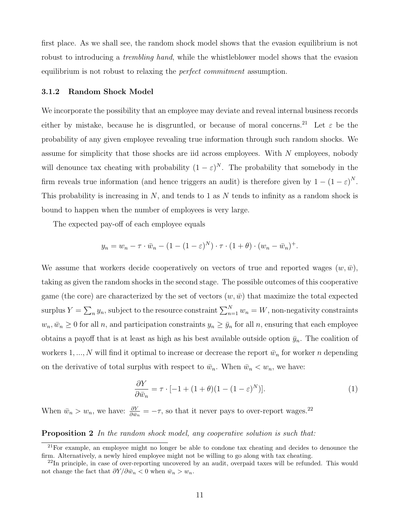first place. As we shall see, the random shock model shows that the evasion equilibrium is not robust to introducing a *trembling hand*, while the whistleblower model shows that the evasion equilibrium is not robust to relaxing the *perfect commitment* assumption.

### 3.1.2 Random Shock Model

We incorporate the possibility that an employee may deviate and reveal internal business records either by mistake, because he is disgruntled, or because of moral concerns.<sup>21</sup> Let  $\varepsilon$  be the probability of any given employee revealing true information through such random shocks. We assume for simplicity that those shocks are iid across employees. With N employees, nobody will denounce tax cheating with probability  $(1 - \varepsilon)^N$ . The probability that somebody in the firm reveals true information (and hence triggers an audit) is therefore given by  $1 - (1 - \varepsilon)^N$ . This probability is increasing in  $N$ , and tends to 1 as  $N$  tends to infinity as a random shock is bound to happen when the number of employees is very large.

The expected pay-off of each employee equals

$$
y_n = w_n - \tau \cdot \bar{w}_n - (1 - (1 - \varepsilon)^N) \cdot \tau \cdot (1 + \theta) \cdot (w_n - \bar{w}_n)^+.
$$

We assume that workers decide cooperatively on vectors of true and reported wages  $(w,\bar{w})$ , taking as given the random shocks in the second stage. The possible outcomes of this cooperative game (the core) are characterized by the set of vectors  $(w,\bar{w})$  that maximize the total expected surplus  $Y = \sum_n y_n$ , subject to the resource constraint  $\sum_{n=1}^N w_n = W$ , non-negativity constraints  $w_n, \bar{w}_n \geq 0$  for all n, and participation constraints  $y_n \geq \bar{y}_n$  for all n, ensuring that each employee obtains a payoff that is at least as high as his best available outside option  $\bar{y}_n$ . The coalition of workers 1, ..., N will find it optimal to increase or decrease the report  $\bar{w}_n$  for worker n depending on the derivative of total surplus with respect to  $\bar{w}_n$ . When  $\bar{w}_n < w_n$ , we have:

$$
\frac{\partial Y}{\partial \bar{w}_n} = \tau \cdot [-1 + (1 + \theta)(1 - (1 - \varepsilon)^N)]. \tag{1}
$$

When  $\bar{w}_n > w_n$ , we have:  $\frac{\partial Y}{\partial \bar{w}_n} = -\tau$ , so that it never pays to over-report wages.<sup>22</sup>

**Proposition 2** In the random shock model, any cooperative solution is such that:

 $21$ For example, an employee might no longer be able to condone tax cheating and decides to denounce the firm. Alternatively, a newly hired employee might not be willing to go along with tax cheating.

 $^{22}$ In principle, in case of over-reporting uncovered by an audit, overpaid taxes will be refunded. This would not change the fact that  $\partial Y / \partial \bar{w}_n < 0$  when  $\bar{w}_n > w_n$ .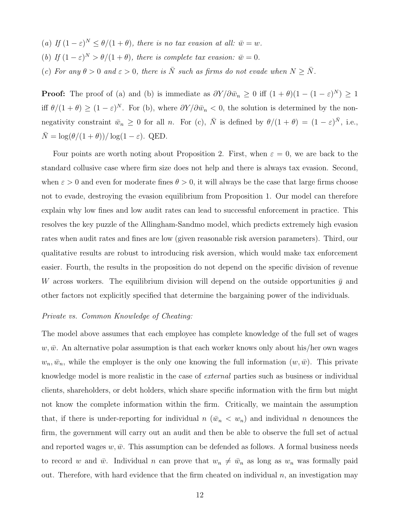(a) If  $(1 - \varepsilon)^N \leq \theta/(1 + \theta)$ , there is no tax evasion at all:  $\bar{w} = w$ . (b) If  $(1 - \varepsilon)^N > \theta/(1 + \theta)$ , there is complete tax evasion:  $\bar{w} = 0$ . (c) For any  $\theta > 0$  and  $\varepsilon > 0$ , there is  $\overline{N}$  such as firms do not evade when  $N \geq \overline{N}$ .

**Proof:** The proof of (a) and (b) is immediate as  $\partial Y/\partial \bar{w}_n \geq 0$  iff  $(1 + \theta)(1 - (1 - \varepsilon)^N) \geq 1$ iff  $\theta/(1+\theta) \ge (1-\varepsilon)^N$ . For (b), where  $\partial Y/\partial \bar{w}_n < 0$ , the solution is determined by the nonnegativity constraint  $\bar{w}_n \geq 0$  for all n. For (c),  $\bar{N}$  is defined by  $\theta/(1+\theta) = (1-\varepsilon)^{\bar{N}}$ , i.e.,  $\overline{N} = \log(\theta/(1+\theta))/\log(1-\varepsilon)$ . QED.

Four points are worth noting about Proposition 2. First, when  $\varepsilon = 0$ , we are back to the standard collusive case where firm size does not help and there is always tax evasion. Second, when  $\varepsilon > 0$  and even for moderate fines  $\theta > 0$ , it will always be the case that large firms choose not to evade, destroying the evasion equilibrium from Proposition 1. Our model can therefore explain why low fines and low audit rates can lead to successful enforcement in practice. This resolves the key puzzle of the Allingham-Sandmo model, which predicts extremely high evasion rates when audit rates and fines are low (given reasonable risk aversion parameters). Third, our qualitative results are robust to introducing risk aversion, which would make tax enforcement easier. Fourth, the results in the proposition do not depend on the specific division of revenue W across workers. The equilibrium division will depend on the outside opportunities  $\bar{y}$  and other factors not explicitly specified that determine the bargaining power of the individuals.

## Private vs. Common Knowledge of Cheating:

The model above assumes that each employee has complete knowledge of the full set of wages  $w,\bar{w}$ . An alternative polar assumption is that each worker knows only about his/her own wages  $w_n, \bar{w}_n$ , while the employer is the only one knowing the full information  $(w, \bar{w})$ . This private knowledge model is more realistic in the case of external parties such as business or individual clients, shareholders, or debt holders, which share specific information with the firm but might not know the complete information within the firm. Critically, we maintain the assumption that, if there is under-reporting for individual n  $(\bar{w}_n < w_n)$  and individual n denounces the firm, the government will carry out an audit and then be able to observe the full set of actual and reported wages  $w, \bar{w}$ . This assumption can be defended as follows. A formal business needs to record w and  $\bar{w}$ . Individual n can prove that  $w_n \neq \bar{w}_n$  as long as  $w_n$  was formally paid out. Therefore, with hard evidence that the firm cheated on individual  $n$ , an investigation may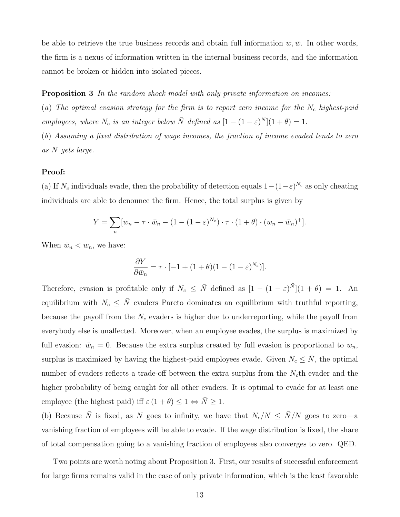be able to retrieve the true business records and obtain full information  $w,\bar{w}$ . In other words, the firm is a nexus of information written in the internal business records, and the information cannot be broken or hidden into isolated pieces.

**Proposition 3** In the random shock model with only private information on incomes:

(a) The optimal evasion strategy for the firm is to report zero income for the  $N_c$  highest-paid employees, where  $N_c$  is an integer below  $\overline{N}$  defined as  $[1 - (1 - \varepsilon)^{\overline{N}}](1 + \theta) = 1$ .

(b) Assuming a fixed distribution of wage incomes, the fraction of income evaded tends to zero as N gets large.

#### Proof:

(a) If  $N_c$  individuals evade, then the probability of detection equals  $1-(1-\varepsilon)^{N_c}$  as only cheating individuals are able to denounce the firm. Hence, the total surplus is given by

$$
Y = \sum_{n} [w_n - \tau \cdot \bar{w}_n - (1 - (1 - \varepsilon)^{N_c}) \cdot \tau \cdot (1 + \theta) \cdot (w_n - \bar{w}_n)^+].
$$

When  $\bar{w}_n < w_n$ , we have:

$$
\frac{\partial Y}{\partial \bar{w}_n} = \tau \cdot [-1 + (1 + \theta)(1 - (1 - \varepsilon)^{N_c})].
$$

Therefore, evasion is profitable only if  $N_c \leq \bar{N}$  defined as  $[1 - (1 - \varepsilon)^{\bar{N}}](1 + \theta) = 1$ . An equilibrium with  $N_c \leq \overline{N}$  evaders Pareto dominates an equilibrium with truthful reporting, because the payoff from the  $N_c$  evaders is higher due to underreporting, while the payoff from everybody else is unaffected. Moreover, when an employee evades, the surplus is maximized by full evasion:  $\bar{w}_n = 0$ . Because the extra surplus created by full evasion is proportional to  $w_n$ , surplus is maximized by having the highest-paid employees evade. Given  $N_c \leq N$ , the optimal number of evaders reflects a trade-off between the extra surplus from the  $N_c$ th evader and the higher probability of being caught for all other evaders. It is optimal to evade for at least one employee (the highest paid) iff  $\varepsilon (1 + \theta) \leq 1 \Leftrightarrow \overline{N} \geq 1$ .

(b) Because  $\bar{N}$  is fixed, as N goes to infinity, we have that  $N_c/N \leq \bar{N}/N$  goes to zero—a vanishing fraction of employees will be able to evade. If the wage distribution is fixed, the share of total compensation going to a vanishing fraction of employees also converges to zero. QED.

Two points are worth noting about Proposition 3. First, our results of successful enforcement for large firms remains valid in the case of only private information, which is the least favorable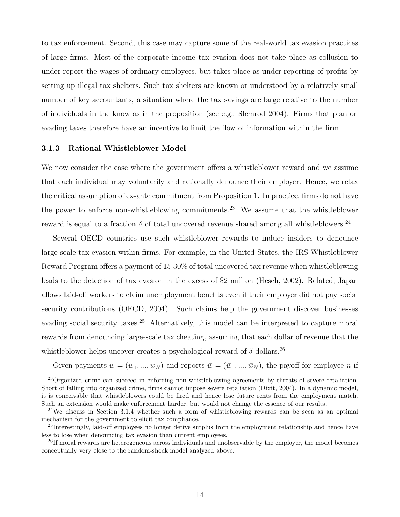to tax enforcement. Second, this case may capture some of the real-world tax evasion practices of large firms. Most of the corporate income tax evasion does not take place as collusion to under-report the wages of ordinary employees, but takes place as under-reporting of profits by setting up illegal tax shelters. Such tax shelters are known or understood by a relatively small number of key accountants, a situation where the tax savings are large relative to the number of individuals in the know as in the proposition (see e.g., Slemrod 2004). Firms that plan on evading taxes therefore have an incentive to limit the flow of information within the firm.

#### 3.1.3 Rational Whistleblower Model

We now consider the case where the government offers a whistleblower reward and we assume that each individual may voluntarily and rationally denounce their employer. Hence, we relax the critical assumption of ex-ante commitment from Proposition 1. In practice, firms do not have the power to enforce non-whistleblowing commitments.<sup>23</sup> We assume that the whistleblower reward is equal to a fraction  $\delta$  of total uncovered revenue shared among all whistleblowers.  $^{24}$ 

Several OECD countries use such whistleblower rewards to induce insiders to denounce large-scale tax evasion within firms. For example, in the United States, the IRS Whistleblower Reward Program offers a payment of 15-30% of total uncovered tax revenue when whistleblowing leads to the detection of tax evasion in the excess of \$2 million (Hesch, 2002). Related, Japan allows laid-off workers to claim unemployment benefits even if their employer did not pay social security contributions (OECD, 2004). Such claims help the government discover businesses evading social security taxes.<sup>25</sup> Alternatively, this model can be interpreted to capture moral rewards from denouncing large-scale tax cheating, assuming that each dollar of revenue that the whistleblower helps uncover creates a psychological reward of  $\delta$  dollars.<sup>26</sup>

Given payments  $w = (w_1, ..., w_N)$  and reports  $\bar{w} = (\bar{w}_1, ..., \bar{w}_N)$ , the payoff for employee n if

<sup>&</sup>lt;sup>23</sup>Organized crime can succeed in enforcing non-whistleblowing agreements by threats of severe retaliation. Short of falling into organized crime, firms cannot impose severe retaliation (Dixit, 2004). In a dynamic model, it is conceivable that whistleblowers could be fired and hence lose future rents from the employment match. Such an extension would make enforcement harder, but would not change the essence of our results.

<sup>&</sup>lt;sup>24</sup>We discuss in Section 3.1.4 whether such a form of whistleblowing rewards can be seen as an optimal mechanism for the government to elicit tax compliance.

<sup>&</sup>lt;sup>25</sup>Interestingly, laid-off employees no longer derive surplus from the employment relationship and hence have less to lose when denouncing tax evasion than current employees.

<sup>&</sup>lt;sup>26</sup>If moral rewards are heterogeneous across individuals and unobservable by the employer, the model becomes conceptually very close to the random-shock model analyzed above.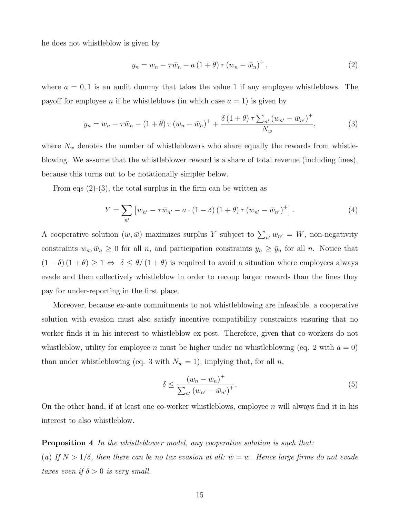he does not whistleblow is given by

$$
y_n = w_n - \tau \bar{w}_n - a \left( 1 + \theta \right) \tau \left( w_n - \bar{w}_n \right)^+, \tag{2}
$$

where  $a = 0, 1$  is an audit dummy that takes the value 1 if any employee whistleblows. The payoff for employee *n* if he whistleblows (in which case  $a = 1$ ) is given by

$$
y_n = w_n - \tau \bar{w}_n - (1 + \theta) \tau (w_n - \bar{w}_n)^+ + \frac{\delta (1 + \theta) \tau \sum_{n'} (w_{n'} - \bar{w}_{n'})^+}{N_w},
$$
 (3)

where  $N_w$  denotes the number of whistleblowers who share equally the rewards from whistleblowing. We assume that the whistleblower reward is a share of total revenue (including fines), because this turns out to be notationally simpler below.

From eqs  $(2)-(3)$ , the total surplus in the firm can be written as

$$
Y = \sum_{n'} \left[ w_{n'} - \tau \bar{w}_{n'} - a \cdot (1 - \delta) (1 + \theta) \tau (w_{n'} - \bar{w}_{n'})^+ \right]. \tag{4}
$$

A cooperative solution  $(w, \bar{w})$  maximizes surplus Y subject to  $\sum_{n'} w_{n'} = W$ , non-negativity constraints  $w_n, \bar{w}_n \geq 0$  for all n, and participation constraints  $y_n \geq \bar{y}_n$  for all n. Notice that  $(1 - \delta) (1 + \theta) \ge 1 \Leftrightarrow \delta \le \theta/(1 + \theta)$  is required to avoid a situation where employees always evade and then collectively whistleblow in order to recoup larger rewards than the fines they pay for under-reporting in the first place.

Moreover, because ex-ante commitments to not whistleblowing are infeasible, a cooperative solution with evasion must also satisfy incentive compatibility constraints ensuring that no worker finds it in his interest to whistleblow ex post. Therefore, given that co-workers do not whistleblow, utility for employee n must be higher under no whistleblowing (eq. 2 with  $a = 0$ ) than under whistleblowing (eq. 3 with  $N_w = 1$ ), implying that, for all n,

$$
\delta \le \frac{(w_n - \bar{w}_n)^+}{\sum_{n'} (w_{n'} - \bar{w}_{n'})^+}.
$$
\n(5)

On the other hand, if at least one co-worker whistleblows, employee n will always find it in his interest to also whistleblow.

**Proposition 4** In the whistleblower model, any cooperative solution is such that: (a) If  $N > 1/\delta$ , then there can be no tax evasion at all:  $\bar{w} = w$ . Hence large firms do not evade taxes even if  $\delta > 0$  is very small.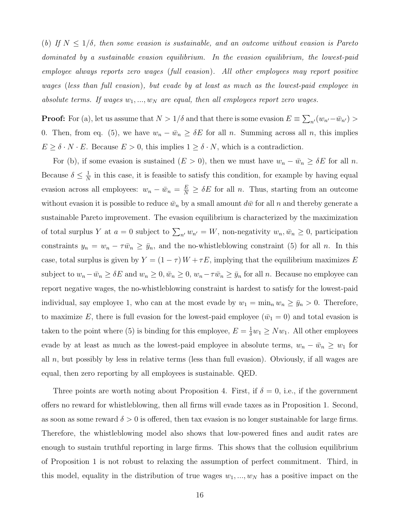(b) If  $N \leq 1/\delta$ , then some evasion is sustainable, and an outcome without evasion is Pareto dominated by a sustainable evasion equilibrium. In the evasion equilibrium, the lowest-paid employee always reports zero wages (full evasion). All other employees may report positive wages (less than full evasion), but evade by at least as much as the lowest-paid employee in absolute terms. If wages  $w_1, ..., w_N$  are equal, then all employees report zero wages.

**Proof:** For (a), let us assume that  $N > 1/\delta$  and that there is some evasion  $E \equiv \sum_{n'} (w_{n'} - \bar{w}_{n'}) >$ 0. Then, from eq. (5), we have  $w_n - \bar{w}_n \geq \delta E$  for all n. Summing across all n, this implies  $E \geq \delta \cdot N \cdot E$ . Because  $E > 0$ , this implies  $1 \geq \delta \cdot N$ , which is a contradiction.

For (b), if some evasion is sustained  $(E > 0)$ , then we must have  $w_n - \bar{w}_n \geq \delta E$  for all n. Because  $\delta \leq \frac{1}{N}$  $\frac{1}{N}$  in this case, it is feasible to satisfy this condition, for example by having equal evasion across all employees:  $w_n - \bar{w}_n = \frac{E}{N} \ge \delta E$  for all n. Thus, starting from an outcome without evasion it is possible to reduce  $\bar{w}_n$  by a small amount  $d\bar{w}$  for all n and thereby generate a sustainable Pareto improvement. The evasion equilibrium is characterized by the maximization of total surplus Y at  $a = 0$  subject to  $\sum_{n'} w_{n'} = W$ , non-negativity  $w_n, \bar{w}_n \geq 0$ , participation constraints  $y_n = w_n - \tau \bar{w}_n \geq \bar{y}_n$ , and the no-whistleblowing constraint (5) for all n. In this case, total surplus is given by  $Y = (1 - \tau) W + \tau E$ , implying that the equilibrium maximizes E subject to  $w_n - \bar{w}_n \ge \delta E$  and  $w_n \ge 0$ ,  $\bar{w}_n \ge 0$ ,  $w_n - \tau \bar{w}_n \ge \bar{y}_n$  for all n. Because no employee can report negative wages, the no-whistleblowing constraint is hardest to satisfy for the lowest-paid individual, say employee 1, who can at the most evade by  $w_1 = \min_n w_n \ge \bar{y}_n > 0$ . Therefore, to maximize E, there is full evasion for the lowest-paid employee  $(\bar{w}_1 = 0)$  and total evasion is taken to the point where (5) is binding for this employee,  $E = \frac{1}{\delta}w_1 \geq Nw_1$ . All other employees evade by at least as much as the lowest-paid employee in absolute terms,  $w_n - \bar{w}_n \geq w_1$  for all  $n$ , but possibly by less in relative terms (less than full evasion). Obviously, if all wages are equal, then zero reporting by all employees is sustainable. QED.

Three points are worth noting about Proposition 4. First, if  $\delta = 0$ , i.e., if the government offers no reward for whistleblowing, then all firms will evade taxes as in Proposition 1. Second, as soon as some reward  $\delta > 0$  is offered, then tax evasion is no longer sustainable for large firms. Therefore, the whistleblowing model also shows that low-powered fines and audit rates are enough to sustain truthful reporting in large firms. This shows that the collusion equilibrium of Proposition 1 is not robust to relaxing the assumption of perfect commitment. Third, in this model, equality in the distribution of true wages  $w_1, ..., w_N$  has a positive impact on the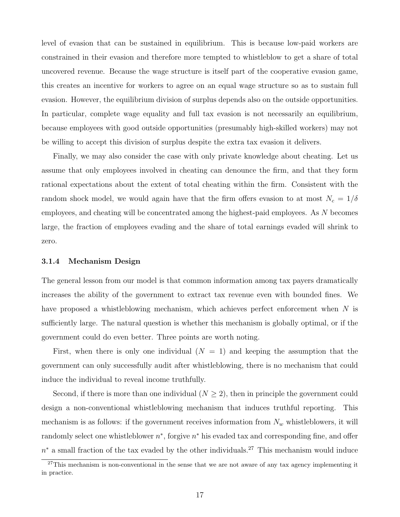level of evasion that can be sustained in equilibrium. This is because low-paid workers are constrained in their evasion and therefore more tempted to whistleblow to get a share of total uncovered revenue. Because the wage structure is itself part of the cooperative evasion game, this creates an incentive for workers to agree on an equal wage structure so as to sustain full evasion. However, the equilibrium division of surplus depends also on the outside opportunities. In particular, complete wage equality and full tax evasion is not necessarily an equilibrium, because employees with good outside opportunities (presumably high-skilled workers) may not be willing to accept this division of surplus despite the extra tax evasion it delivers.

Finally, we may also consider the case with only private knowledge about cheating. Let us assume that only employees involved in cheating can denounce the firm, and that they form rational expectations about the extent of total cheating within the firm. Consistent with the random shock model, we would again have that the firm offers evasion to at most  $N_c = 1/\delta$ employees, and cheating will be concentrated among the highest-paid employees. As N becomes large, the fraction of employees evading and the share of total earnings evaded will shrink to zero.

#### 3.1.4 Mechanism Design

The general lesson from our model is that common information among tax payers dramatically increases the ability of the government to extract tax revenue even with bounded fines. We have proposed a whistleblowing mechanism, which achieves perfect enforcement when N is sufficiently large. The natural question is whether this mechanism is globally optimal, or if the government could do even better. Three points are worth noting.

First, when there is only one individual  $(N = 1)$  and keeping the assumption that the government can only successfully audit after whistleblowing, there is no mechanism that could induce the individual to reveal income truthfully.

Second, if there is more than one individual  $(N \geq 2)$ , then in principle the government could design a non-conventional whistleblowing mechanism that induces truthful reporting. This mechanism is as follows: if the government receives information from  $N_w$  whistleblowers, it will randomly select one whistleblower  $n^*$ , forgive  $n^*$  his evaded tax and corresponding fine, and offer  $n^*$  a small fraction of the tax evaded by the other individuals.<sup>27</sup> This mechanism would induce

 $27$ This mechanism is non-conventional in the sense that we are not aware of any tax agency implementing it in practice.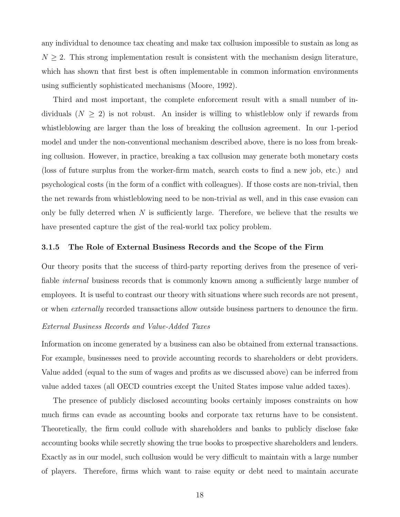any individual to denounce tax cheating and make tax collusion impossible to sustain as long as  $N \geq 2$ . This strong implementation result is consistent with the mechanism design literature, which has shown that first best is often implementable in common information environments using sufficiently sophisticated mechanisms (Moore, 1992).

Third and most important, the complete enforcement result with a small number of individuals  $(N \geq 2)$  is not robust. An insider is willing to whistleblow only if rewards from whistleblowing are larger than the loss of breaking the collusion agreement. In our 1-period model and under the non-conventional mechanism described above, there is no loss from breaking collusion. However, in practice, breaking a tax collusion may generate both monetary costs (loss of future surplus from the worker-firm match, search costs to find a new job, etc.) and psychological costs (in the form of a conflict with colleagues). If those costs are non-trivial, then the net rewards from whistleblowing need to be non-trivial as well, and in this case evasion can only be fully deterred when  $N$  is sufficiently large. Therefore, we believe that the results we have presented capture the gist of the real-world tax policy problem.

### 3.1.5 The Role of External Business Records and the Scope of the Firm

Our theory posits that the success of third-party reporting derives from the presence of verifiable *internal* business records that is commonly known among a sufficiently large number of employees. It is useful to contrast our theory with situations where such records are not present, or when externally recorded transactions allow outside business partners to denounce the firm.

# External Business Records and Value-Added Taxes

Information on income generated by a business can also be obtained from external transactions. For example, businesses need to provide accounting records to shareholders or debt providers. Value added (equal to the sum of wages and profits as we discussed above) can be inferred from value added taxes (all OECD countries except the United States impose value added taxes).

The presence of publicly disclosed accounting books certainly imposes constraints on how much firms can evade as accounting books and corporate tax returns have to be consistent. Theoretically, the firm could collude with shareholders and banks to publicly disclose fake accounting books while secretly showing the true books to prospective shareholders and lenders. Exactly as in our model, such collusion would be very difficult to maintain with a large number of players. Therefore, firms which want to raise equity or debt need to maintain accurate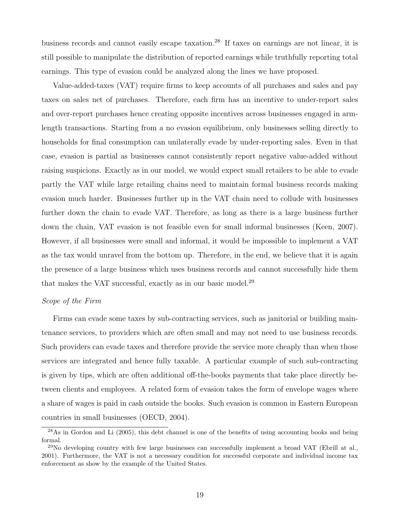business records and cannot easily escape taxation.<sup>28</sup> If taxes on earnings are not linear, it is still possible to manipulate the distribution of reported earnings while truthfully reporting total earnings. This type of evasion could be analyzed along the lines we have proposed.

Value-added-taxes (VAT) require firms to keep accounts of all purchases and sales and pay taxes on sales net of purchases. Therefore, each firm has an incentive to under-report sales and over-report purchases hence creating opposite incentives across businesses engaged in armlength transactions. Starting from a no evasion equilibrium, only businesses selling directly to households for final consumption can unilaterally evade by under-reporting sales. Even in that case, evasion is partial as businesses cannot consistently report negative value-added without raising suspicions. Exactly as in our model, we would expect small retailers to be able to evade partly the VAT while large retailing chains need to maintain formal business records making evasion much harder. Businesses further up in the VAT chain need to collude with businesses further down the chain to evade VAT. Therefore, as long as there is a large business further down the chain, VAT evasion is not feasible even for small informal businesses (Keen, 2007). However, if all businesses were small and informal, it would be impossible to implement a VAT as the tax would unravel from the bottom up. Therefore, in the end, we believe that it is again the presence of a large business which uses business records and cannot successfully hide them that makes the VAT successful, exactly as in our basic model.<sup>29</sup>

## Scope of the Firm

Firms can evade some taxes by sub-contracting services, such as janitorial or building maintenance services, to providers which are often small and may not need to use business records. Such providers can evade taxes and therefore provide the service more cheaply than when those services are integrated and hence fully taxable. A particular example of such sub-contracting is given by tips, which are often additional off-the-books payments that take place directly between clients and employees. A related form of evasion takes the form of envelope wages where a share of wages is paid in cash outside the books. Such evasion is common in Eastern European countries in small businesses (OECD, 2004).

<sup>&</sup>lt;sup>28</sup>As in Gordon and Li (2005), this debt channel is one of the benefits of using accounting books and being formal.

<sup>&</sup>lt;sup>29</sup>No developing country with few large businesses can successfully implement a broad VAT (Ebrill at al., 2001). Furthermore, the VAT is not a necessary condition for successful corporate and individual income tax enforcement as show by the example of the United States.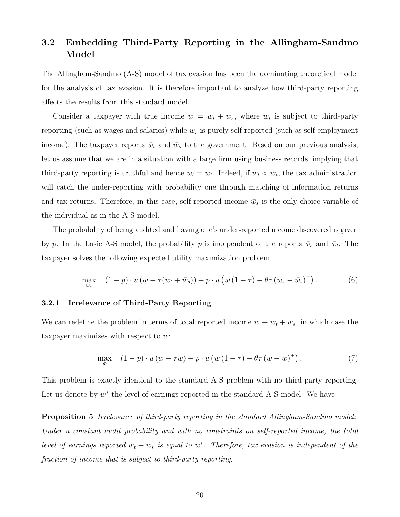# 3.2 Embedding Third-Party Reporting in the Allingham-Sandmo Model

The Allingham-Sandmo (A-S) model of tax evasion has been the dominating theoretical model for the analysis of tax evasion. It is therefore important to analyze how third-party reporting affects the results from this standard model.

Consider a taxpayer with true income  $w = w_t + w_s$ , where  $w_t$  is subject to third-party reporting (such as wages and salaries) while  $w_s$  is purely self-reported (such as self-employment income). The taxpayer reports  $\bar{w}_t$  and  $\bar{w}_s$  to the government. Based on our previous analysis, let us assume that we are in a situation with a large firm using business records, implying that third-party reporting is truthful and hence  $\bar{w}_t = w_t$ . Indeed, if  $\bar{w}_t < w_t$ , the tax administration will catch the under-reporting with probability one through matching of information returns and tax returns. Therefore, in this case, self-reported income  $\bar{w}_s$  is the only choice variable of the individual as in the A-S model.

The probability of being audited and having one's under-reported income discovered is given by p. In the basic A-S model, the probability p is independent of the reports  $\bar{w}_s$  and  $\bar{w}_t$ . The taxpayer solves the following expected utility maximization problem:

$$
\max_{\bar{w}_s} \quad (1-p) \cdot u \left( w - \tau (w_t + \bar{w}_s) \right) + p \cdot u \left( w \left( 1 - \tau \right) - \theta \tau \left( w_s - \bar{w}_s \right)^+ \right). \tag{6}
$$

# 3.2.1 Irrelevance of Third-Party Reporting

We can redefine the problem in terms of total reported income  $\bar{w} \equiv \bar{w}_t + \bar{w}_s$ , in which case the taxpayer maximizes with respect to  $\bar{w}$ :

$$
\max_{\overline{w}} \quad (1-p) \cdot u \left( w - \tau \overline{w} \right) + p \cdot u \left( w \left( 1 - \tau \right) - \theta \tau \left( w - \overline{w} \right)^{+} \right). \tag{7}
$$

This problem is exactly identical to the standard A-S problem with no third-party reporting. Let us denote by  $w^*$  the level of earnings reported in the standard A-S model. We have:

Proposition 5 Irrelevance of third-party reporting in the standard Allingham-Sandmo model: Under a constant audit probability and with no constraints on self-reported income, the total level of earnings reported  $\bar{w}_t + \bar{w}_s$  is equal to w<sup>\*</sup>. Therefore, tax evasion is independent of the fraction of income that is subject to third-party reporting.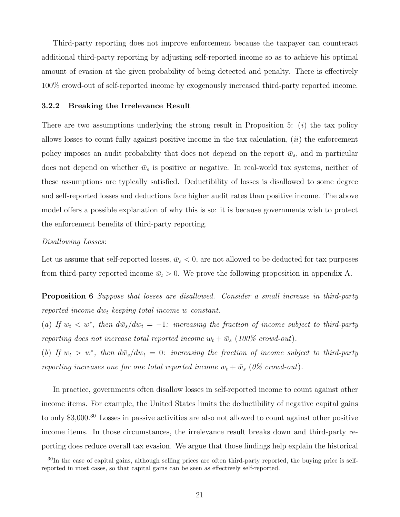Third-party reporting does not improve enforcement because the taxpayer can counteract additional third-party reporting by adjusting self-reported income so as to achieve his optimal amount of evasion at the given probability of being detected and penalty. There is effectively 100% crowd-out of self-reported income by exogenously increased third-party reported income.

# 3.2.2 Breaking the Irrelevance Result

There are two assumptions underlying the strong result in Proposition 5:  $(i)$  the tax policy allows losses to count fully against positive income in the tax calculation,  $(ii)$  the enforcement policy imposes an audit probability that does not depend on the report  $\bar{w}_s$ , and in particular does not depend on whether  $\bar{w}_s$  is positive or negative. In real-world tax systems, neither of these assumptions are typically satisfied. Deductibility of losses is disallowed to some degree and self-reported losses and deductions face higher audit rates than positive income. The above model offers a possible explanation of why this is so: it is because governments wish to protect the enforcement benefits of third-party reporting.

# Disallowing Losses:

Let us assume that self-reported losses,  $\bar{w}_s < 0$ , are not allowed to be deducted for tax purposes from third-party reported income  $\bar{w}_t > 0$ . We prove the following proposition in appendix A.

**Proposition 6** Suppose that losses are disallowed. Consider a small increase in third-party reported income  $dw_t$  keeping total income w constant.

(a) If  $w_t < w^*$ , then  $d\bar{w}_s/dw_t = -1$ : increasing the fraction of income subject to third-party reporting does not increase total reported income  $w_t + \bar{w}_s$  (100% crowd-out).

(b) If  $w_t > w^*$ , then  $d\bar{w}_s/dw_t = 0$ : increasing the fraction of income subject to third-party reporting increases one for one total reported income  $w_t + \bar{w}_s$  (0% crowd-out).

In practice, governments often disallow losses in self-reported income to count against other income items. For example, the United States limits the deductibility of negative capital gains to only \$3,000.<sup>30</sup> Losses in passive activities are also not allowed to count against other positive income items. In those circumstances, the irrelevance result breaks down and third-party reporting does reduce overall tax evasion. We argue that those findings help explain the historical

<sup>&</sup>lt;sup>30</sup>In the case of capital gains, although selling prices are often third-party reported, the buying price is selfreported in most cases, so that capital gains can be seen as effectively self-reported.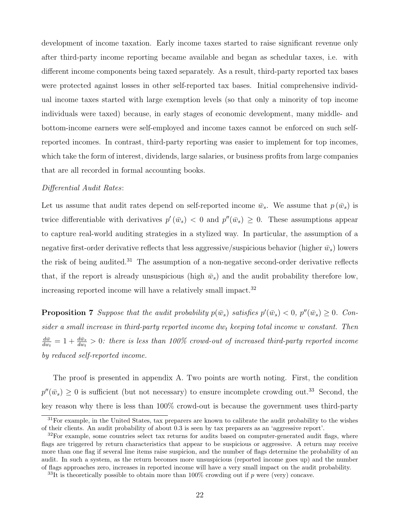development of income taxation. Early income taxes started to raise significant revenue only after third-party income reporting became available and began as schedular taxes, i.e. with different income components being taxed separately. As a result, third-party reported tax bases were protected against losses in other self-reported tax bases. Initial comprehensive individual income taxes started with large exemption levels (so that only a minority of top income individuals were taxed) because, in early stages of economic development, many middle- and bottom-income earners were self-employed and income taxes cannot be enforced on such selfreported incomes. In contrast, third-party reporting was easier to implement for top incomes, which take the form of interest, dividends, large salaries, or business profits from large companies that are all recorded in formal accounting books.

# Differential Audit Rates:

Let us assume that audit rates depend on self-reported income  $\bar{w}_s$ . We assume that  $p(\bar{w}_s)$  is twice differentiable with derivatives  $p'(\bar{w}_s) < 0$  and  $p''(\bar{w}_s) \geq 0$ . These assumptions appear to capture real-world auditing strategies in a stylized way. In particular, the assumption of a negative first-order derivative reflects that less aggressive/suspicious behavior (higher  $\bar{w}_s$ ) lowers the risk of being audited.<sup>31</sup> The assumption of a non-negative second-order derivative reflects that, if the report is already unsuspicious (high  $\bar{w}_s$ ) and the audit probability therefore low, increasing reported income will have a relatively small impact.<sup>32</sup>

**Proposition 7** Suppose that the audit probability  $p(\bar{w}_s)$  satisfies  $p'(\bar{w}_s) < 0$ ,  $p''(\bar{w}_s) \geq 0$ . Consider a small increase in third-party reported income  $dw_t$  keeping total income w constant. Then  $d\bar w$  $\frac{d\bar{w}}{dw_t} = 1 + \frac{d\bar{w}_s}{dw_t} > 0$ : there is less than 100% crowd-out of increased third-party reported income by reduced self-reported income.

The proof is presented in appendix A. Two points are worth noting. First, the condition  $p''(\bar{w}_s) \geq 0$  is sufficient (but not necessary) to ensure incomplete crowding out.<sup>33</sup> Second, the key reason why there is less than 100% crowd-out is because the government uses third-party

<sup>&</sup>lt;sup>31</sup>For example, in the United States, tax preparers are known to calibrate the audit probability to the wishes of their clients. An audit probability of about 0.3 is seen by tax preparers as an 'aggressive report'.

<sup>&</sup>lt;sup>32</sup>For example, some countries select tax returns for audits based on computer-generated audit flags, where flags are triggered by return characteristics that appear to be suspicious or aggressive. A return may receive more than one flag if several line items raise suspicion, and the number of flags determine the probability of an audit. In such a system, as the return becomes more unsuspicious (reported income goes up) and the number of flags approaches zero, increases in reported income will have a very small impact on the audit probability.

 $33$ It is theoretically possible to obtain more than 100% crowding out if p were (very) concave.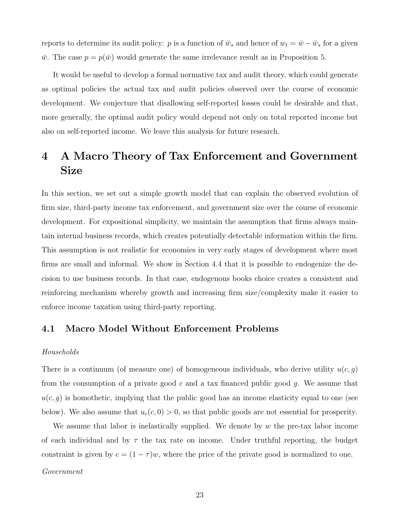reports to determine its audit policy: p is a function of  $\bar{w}_s$  and hence of  $w_t = \bar{w} - \bar{w}_s$  for a given  $\bar{w}$ . The case  $p = p(\bar{w})$  would generate the same irrelevance result as in Proposition 5.

It would be useful to develop a formal normative tax and audit theory, which could generate as optimal policies the actual tax and audit policies observed over the course of economic development. We conjecture that disallowing self-reported losses could be desirable and that, more generally, the optimal audit policy would depend not only on total reported income but also on self-reported income. We leave this analysis for future research.

# 4 A Macro Theory of Tax Enforcement and Government Size

In this section, we set out a simple growth model that can explain the observed evolution of firm size, third-party income tax enforcement, and government size over the course of economic development. For expositional simplicity, we maintain the assumption that firms always maintain internal business records, which creates potentially detectable information within the firm. This assumption is not realistic for economies in very early stages of development where most firms are small and informal. We show in Section 4.4 that it is possible to endogenize the decision to use business records. In that case, endogenous books choice creates a consistent and reinforcing mechanism whereby growth and increasing firm size/complexity make it easier to enforce income taxation using third-party reporting.

# 4.1 Macro Model Without Enforcement Problems

#### Households

There is a continuum (of measure one) of homogeneous individuals, who derive utility  $u(c, g)$ from the consumption of a private good c and a tax financed public good  $g$ . We assume that  $u(c, g)$  is homothetic, implying that the public good has an income elasticity equal to one (see below). We also assume that  $u_c(c, 0) > 0$ , so that public goods are not essential for prosperity.

We assume that labor is inelastically supplied. We denote by  $w$  the pre-tax labor income of each individual and by  $\tau$  the tax rate on income. Under truthful reporting, the budget constraint is given by  $c = (1 - \tau)w$ , where the price of the private good is normalized to one.

# Government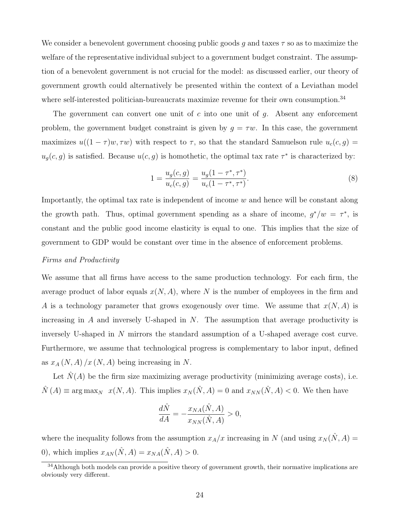We consider a benevolent government choosing public goods g and taxes  $\tau$  so as to maximize the welfare of the representative individual subject to a government budget constraint. The assumption of a benevolent government is not crucial for the model: as discussed earlier, our theory of government growth could alternatively be presented within the context of a Leviathan model where self-interested politician-bureaucrats maximize revenue for their own consumption.<sup>34</sup>

The government can convert one unit of c into one unit of  $g$ . Absent any enforcement problem, the government budget constraint is given by  $g = \tau w$ . In this case, the government maximizes  $u((1 - \tau)w, \tau w)$  with respect to  $\tau$ , so that the standard Samuelson rule  $u_c(c, g)$  =  $u_g(c, g)$  is satisfied. Because  $u(c, g)$  is homothetic, the optimal tax rate  $\tau^*$  is characterized by:

$$
1 = \frac{u_g(c,g)}{u_c(c,g)} = \frac{u_g(1 - \tau^*, \tau^*)}{u_c(1 - \tau^*, \tau^*)}.
$$
\n(8)

Importantly, the optimal tax rate is independent of income  $w$  and hence will be constant along the growth path. Thus, optimal government spending as a share of income,  $g^*/w = \tau^*$ , is constant and the public good income elasticity is equal to one. This implies that the size of government to GDP would be constant over time in the absence of enforcement problems.

# Firms and Productivity

We assume that all firms have access to the same production technology. For each firm, the average product of labor equals  $x(N, A)$ , where N is the number of employees in the firm and A is a technology parameter that grows exogenously over time. We assume that  $x(N, A)$  is increasing in  $A$  and inversely U-shaped in  $N$ . The assumption that average productivity is inversely U-shaped in N mirrors the standard assumption of a U-shaped average cost curve. Furthermore, we assume that technological progress is complementary to labor input, defined as  $x_A(N, A)/x(N, A)$  being increasing in N.

Let  $\hat{N}(A)$  be the firm size maximizing average productivity (minimizing average costs), i.e.  $\hat{N}(A) \equiv \arg \max_{N} x(N, A)$ . This implies  $x_N(\hat{N}, A) = 0$  and  $x_{NN}(\hat{N}, A) < 0$ . We then have

$$
\frac{d\hat{N}}{dA} = -\frac{x_{NA}(\hat{N}, A)}{x_{NN}(\hat{N}, A)} > 0,
$$

where the inequality follows from the assumption  $x_A/x$  increasing in N (and using  $x_N(\hat{N}, A) =$ 0), which implies  $x_{AN}(\hat{N}, A) = x_{NA}(\hat{N}, A) > 0$ .

<sup>&</sup>lt;sup>34</sup>Although both models can provide a positive theory of government growth, their normative implications are obviously very different.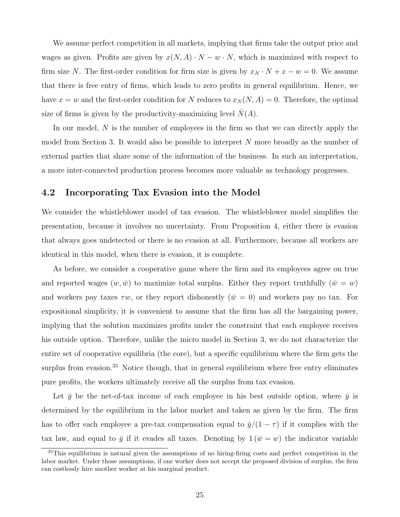We assume perfect competition in all markets, implying that firms take the output price and wages as given. Profits are given by  $x(N, A) \cdot N - w \cdot N$ , which is maximized with respect to firm size N. The first-order condition for firm size is given by  $x_N \cdot N + x - w = 0$ . We assume that there is free entry of firms, which leads to zero profits in general equilibrium. Hence, we have  $x = w$  and the first-order condition for N reduces to  $x_N(N, A) = 0$ . Therefore, the optimal size of firms is given by the productivity-maximizing level  $\hat{N}(A)$ .

In our model, N is the number of employees in the firm so that we can directly apply the model from Section 3. It would also be possible to interpret N more broadly as the number of external parties that share some of the information of the business. In such an interpretation, a more inter-connected production process becomes more valuable as technology progresses.

# 4.2 Incorporating Tax Evasion into the Model

We consider the whistleblower model of tax evasion. The whistleblower model simplifies the presentation, because it involves no uncertainty. From Proposition 4, either there is evasion that always goes undetected or there is no evasion at all. Furthermore, because all workers are identical in this model, when there is evasion, it is complete.

As before, we consider a cooperative game where the firm and its employees agree on true and reported wages  $(w,\bar{w})$  to maximize total surplus. Either they report truthfully  $(\bar{w} = w)$ and workers pay taxes  $\tau w$ , or they report dishonestly  $(\bar{w} = 0)$  and workers pay no tax. For expositional simplicity, it is convenient to assume that the firm has all the bargaining power, implying that the solution maximizes profits under the constraint that each employee receives his outside option. Therefore, unlike the micro model in Section 3, we do not characterize the entire set of cooperative equilibria (the core), but a specific equilibrium where the firm gets the surplus from evasion.<sup>35</sup> Notice though, that in general equilibrium where free entry eliminates pure profits, the workers ultimately receive all the surplus from tax evasion.

Let  $\bar{y}$  be the net-of-tax income of each employee in his best outside option, where  $\bar{y}$  is determined by the equilibrium in the labor market and taken as given by the firm. The firm has to offer each employee a pre-tax compensation equal to  $\bar{y}/(1-\tau)$  if it complies with the tax law, and equal to  $\bar{y}$  if it evades all taxes. Denoting by  $1(\bar{w} = w)$  the indicator variable

<sup>35</sup>This equilibrium is natural given the assumptions of no hiring-firing costs and perfect competition in the labor market. Under those assumptions, if one worker does not accept the proposed division of surplus, the firm can costlessly hire another worker at his marginal product.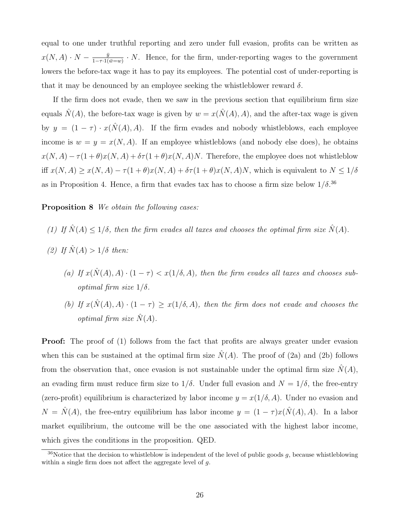equal to one under truthful reporting and zero under full evasion, profits can be written as  $x(N, A) \cdot N - \frac{\bar{y}}{1-\tau A}$  $\frac{y}{1-\tau \cdot 1(\bar{w}=w)} \cdot N$ . Hence, for the firm, under-reporting wages to the government lowers the before-tax wage it has to pay its employees. The potential cost of under-reporting is that it may be denounced by an employee seeking the whistleblower reward  $\delta$ .

If the firm does not evade, then we saw in the previous section that equilibrium firm size equals  $\hat{N}(A)$ , the before-tax wage is given by  $w = x(\hat{N}(A), A)$ , and the after-tax wage is given by  $y = (1 - \tau) \cdot x(\hat{N}(A), A)$ . If the firm evades and nobody whistleblows, each employee income is  $w = y = x(N, A)$ . If an employee whistleblows (and nobody else does), he obtains  $x(N, A) - \tau(1+\theta)x(N, A) + \delta\tau(1+\theta)x(N, A)N$ . Therefore, the employee does not whistleblow iff  $x(N, A) \ge x(N, A) - \tau(1 + \theta)x(N, A) + \delta\tau(1 + \theta)x(N, A)N$ , which is equivalent to  $N \le 1/\delta$ as in Proposition 4. Hence, a firm that evades tax has to choose a firm size below  $1/\delta$ .<sup>36</sup>

# Proposition 8 We obtain the following cases:

- (1) If  $\hat{N}(A) \le 1/\delta$ , then the firm evades all taxes and chooses the optimal firm size  $\hat{N}(A)$ .
- (2) If  $\hat{N}(A) > 1/\delta$  then:
	- (a) If  $x(\hat{N}(A), A) \cdot (1 \tau) < x(1/\delta, A)$ , then the firm evades all taxes and chooses suboptimal firm size  $1/\delta$ .
	- (b) If  $x(\hat{N}(A), A) \cdot (1 \tau) \geq x(1/\delta, A)$ , then the firm does not evade and chooses the optimal firm size  $N(A)$ .

**Proof:** The proof of (1) follows from the fact that profits are always greater under evasion when this can be sustained at the optimal firm size  $\hat{N}(A)$ . The proof of (2a) and (2b) follows from the observation that, once evasion is not sustainable under the optimal firm size  $\tilde{N}(A)$ , an evading firm must reduce firm size to  $1/\delta$ . Under full evasion and  $N = 1/\delta$ , the free-entry (zero-profit) equilibrium is characterized by labor income  $y = x(1/\delta, A)$ . Under no evasion and  $N = \hat{N}(A)$ , the free-entry equilibrium has labor income  $y = (1 - \tau)x(\hat{N}(A), A)$ . In a labor market equilibrium, the outcome will be the one associated with the highest labor income, which gives the conditions in the proposition. QED.

 $36$ Notice that the decision to whistleblow is independent of the level of public goods g, because whistleblowing within a single firm does not affect the aggregate level of  $g$ .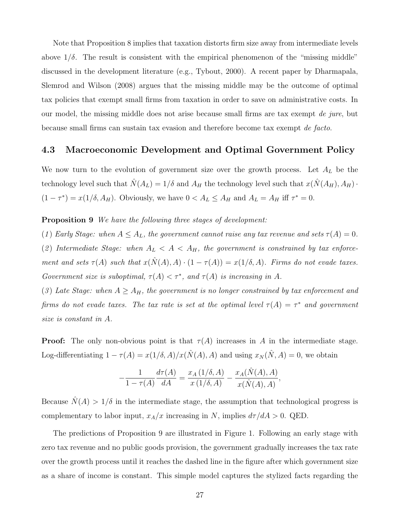Note that Proposition 8 implies that taxation distorts firm size away from intermediate levels above  $1/\delta$ . The result is consistent with the empirical phenomenon of the "missing middle" discussed in the development literature (e.g., Tybout, 2000). A recent paper by Dharmapala, Slemrod and Wilson (2008) argues that the missing middle may be the outcome of optimal tax policies that exempt small firms from taxation in order to save on administrative costs. In our model, the missing middle does not arise because small firms are tax exempt de jure, but because small firms can sustain tax evasion and therefore become tax exempt de facto.

# 4.3 Macroeconomic Development and Optimal Government Policy

We now turn to the evolution of government size over the growth process. Let  $A_L$  be the technology level such that  $\hat{N}(A_L) = 1/\delta$  and  $A_H$  the technology level such that  $x(\hat{N}(A_H), A_H)$ .  $(1 - \tau^*) = x(1/\delta, A_H)$ . Obviously, we have  $0 < A_L \leq A_H$  and  $A_L = A_H$  iff  $\tau^* = 0$ .

**Proposition 9** We have the following three stages of development:

(1) Early Stage: when  $A \leq A_L$ , the government cannot raise any tax revenue and sets  $\tau(A) = 0$ . (2) Intermediate Stage: when  $A_L < A < A_H$ , the government is constrained by tax enforcement and sets  $\tau(A)$  such that  $x(\hat{N}(A), A) \cdot (1 - \tau(A)) = x(1/\delta, A)$ . Firms do not evade taxes. Government size is suboptimal,  $\tau(A) < \tau^*$ , and  $\tau(A)$  is increasing in A.

(3) Late Stage: when  $A \geq A_H$ , the government is no longer constrained by tax enforcement and firms do not evade taxes. The tax rate is set at the optimal level  $\tau(A) = \tau^*$  and government size is constant in A.

**Proof:** The only non-obvious point is that  $\tau(A)$  increases in A in the intermediate stage. Log-differentiating  $1 - \tau(A) = x(1/\delta, A)/x(\hat{N}(A), A)$  and using  $x_N(\hat{N}, A) = 0$ , we obtain

$$
-\frac{1}{1-\tau(A)}\frac{d\tau(A)}{dA} = \frac{x_A(1/\delta, A)}{x(1/\delta, A)} - \frac{x_A(\hat{N}(A), A)}{x(\hat{N}(A), A)},
$$

Because  $\hat{N}(A) > 1/\delta$  in the intermediate stage, the assumption that technological progress is complementary to labor input,  $x_A/x$  increasing in N, implies  $d\tau/dA > 0$ . QED.

The predictions of Proposition 9 are illustrated in Figure 1. Following an early stage with zero tax revenue and no public goods provision, the government gradually increases the tax rate over the growth process until it reaches the dashed line in the figure after which government size as a share of income is constant. This simple model captures the stylized facts regarding the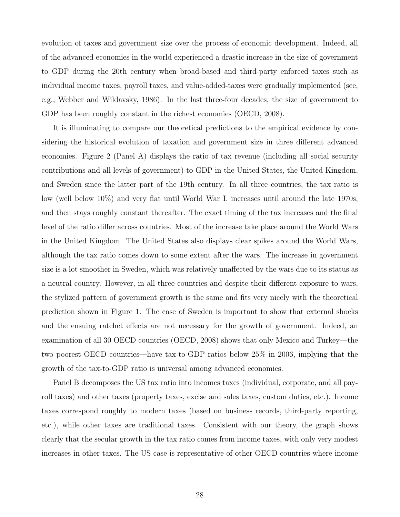evolution of taxes and government size over the process of economic development. Indeed, all of the advanced economies in the world experienced a drastic increase in the size of government to GDP during the 20th century when broad-based and third-party enforced taxes such as individual income taxes, payroll taxes, and value-added-taxes were gradually implemented (see, e.g., Webber and Wildavsky, 1986). In the last three-four decades, the size of government to GDP has been roughly constant in the richest economies (OECD, 2008).

It is illuminating to compare our theoretical predictions to the empirical evidence by considering the historical evolution of taxation and government size in three different advanced economies. Figure 2 (Panel A) displays the ratio of tax revenue (including all social security contributions and all levels of government) to GDP in the United States, the United Kingdom, and Sweden since the latter part of the 19th century. In all three countries, the tax ratio is low (well below 10%) and very flat until World War I, increases until around the late 1970s, and then stays roughly constant thereafter. The exact timing of the tax increases and the final level of the ratio differ across countries. Most of the increase take place around the World Wars in the United Kingdom. The United States also displays clear spikes around the World Wars, although the tax ratio comes down to some extent after the wars. The increase in government size is a lot smoother in Sweden, which was relatively unaffected by the wars due to its status as a neutral country. However, in all three countries and despite their different exposure to wars, the stylized pattern of government growth is the same and fits very nicely with the theoretical prediction shown in Figure 1. The case of Sweden is important to show that external shocks and the ensuing ratchet effects are not necessary for the growth of government. Indeed, an examination of all 30 OECD countries (OECD, 2008) shows that only Mexico and Turkey—the two poorest OECD countries—have tax-to-GDP ratios below 25% in 2006, implying that the growth of the tax-to-GDP ratio is universal among advanced economies.

Panel B decomposes the US tax ratio into incomes taxes (individual, corporate, and all payroll taxes) and other taxes (property taxes, excise and sales taxes, custom duties, etc.). Income taxes correspond roughly to modern taxes (based on business records, third-party reporting, etc.), while other taxes are traditional taxes. Consistent with our theory, the graph shows clearly that the secular growth in the tax ratio comes from income taxes, with only very modest increases in other taxes. The US case is representative of other OECD countries where income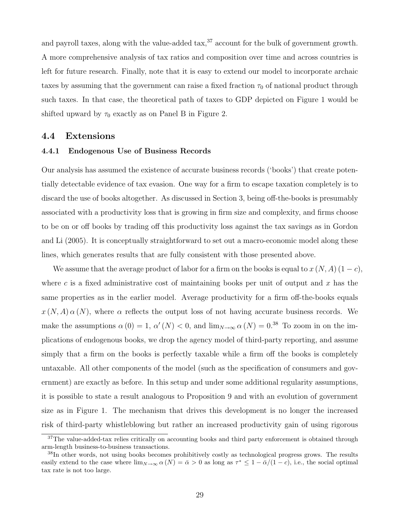and payroll taxes, along with the value-added  $\text{tax},^{37}$  account for the bulk of government growth. A more comprehensive analysis of tax ratios and composition over time and across countries is left for future research. Finally, note that it is easy to extend our model to incorporate archaic taxes by assuming that the government can raise a fixed fraction  $\tau_0$  of national product through such taxes. In that case, the theoretical path of taxes to GDP depicted on Figure 1 would be shifted upward by  $\tau_0$  exactly as on Panel B in Figure 2.

# 4.4 Extensions

#### 4.4.1 Endogenous Use of Business Records

Our analysis has assumed the existence of accurate business records ('books') that create potentially detectable evidence of tax evasion. One way for a firm to escape taxation completely is to discard the use of books altogether. As discussed in Section 3, being off-the-books is presumably associated with a productivity loss that is growing in firm size and complexity, and firms choose to be on or off books by trading off this productivity loss against the tax savings as in Gordon and Li (2005). It is conceptually straightforward to set out a macro-economic model along these lines, which generates results that are fully consistent with those presented above.

We assume that the average product of labor for a firm on the books is equal to  $x(N, A)$  (1 – c), where c is a fixed administrative cost of maintaining books per unit of output and  $x$  has the same properties as in the earlier model. Average productivity for a firm off-the-books equals  $x(N, A) \alpha(N)$ , where  $\alpha$  reflects the output loss of not having accurate business records. We make the assumptions  $\alpha(0) = 1, \alpha'(N) < 0$ , and  $\lim_{N \to \infty} \alpha(N) = 0.38$  To zoom in on the implications of endogenous books, we drop the agency model of third-party reporting, and assume simply that a firm on the books is perfectly taxable while a firm off the books is completely untaxable. All other components of the model (such as the specification of consumers and government) are exactly as before. In this setup and under some additional regularity assumptions, it is possible to state a result analogous to Proposition 9 and with an evolution of government size as in Figure 1. The mechanism that drives this development is no longer the increased risk of third-party whistleblowing but rather an increased productivity gain of using rigorous

<sup>&</sup>lt;sup>37</sup>The value-added-tax relies critically on accounting books and third party enforcement is obtained through arm-length business-to-business transactions.

<sup>&</sup>lt;sup>38</sup>In other words, not using books becomes prohibitively costly as technological progress grows. The results easily extend to the case where  $\lim_{N\to\infty} \alpha(N) = \overline{\alpha} > 0$  as long as  $\tau^* \leq 1 - \overline{\alpha}/(1-c)$ , i.e., the social optimal tax rate is not too large.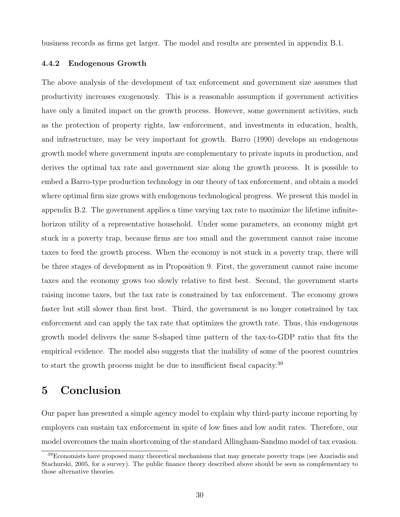business records as firms get larger. The model and results are presented in appendix B.1.

## 4.4.2 Endogenous Growth

The above analysis of the development of tax enforcement and government size assumes that productivity increases exogenously. This is a reasonable assumption if government activities have only a limited impact on the growth process. However, some government activities, such as the protection of property rights, law enforcement, and investments in education, health, and infrastructure, may be very important for growth. Barro (1990) develops an endogenous growth model where government inputs are complementary to private inputs in production, and derives the optimal tax rate and government size along the growth process. It is possible to embed a Barro-type production technology in our theory of tax enforcement, and obtain a model where optimal firm size grows with endogenous technological progress. We present this model in appendix B.2. The government applies a time varying tax rate to maximize the lifetime infinitehorizon utility of a representative household. Under some parameters, an economy might get stuck in a poverty trap, because firms are too small and the government cannot raise income taxes to feed the growth process. When the economy is not stuck in a poverty trap, there will be three stages of development as in Proposition 9. First, the government cannot raise income taxes and the economy grows too slowly relative to first best. Second, the government starts raising income taxes, but the tax rate is constrained by tax enforcement. The economy grows faster but still slower than first best. Third, the government is no longer constrained by tax enforcement and can apply the tax rate that optimizes the growth rate. Thus, this endogenous growth model delivers the same S-shaped time pattern of the tax-to-GDP ratio that fits the empirical evidence. The model also suggests that the inability of some of the poorest countries to start the growth process might be due to insufficient fiscal capacity.<sup>39</sup>

# 5 Conclusion

Our paper has presented a simple agency model to explain why third-party income reporting by employers can sustain tax enforcement in spite of low fines and low audit rates. Therefore, our model overcomes the main shortcoming of the standard Allingham-Sandmo model of tax evasion.

<sup>&</sup>lt;sup>39</sup>Economists have proposed many theoretical mechanisms that may generate poverty traps (see Azariadis and Stachurski, 2005, for a survey). The public finance theory described above should be seen as complementary to those alternative theories.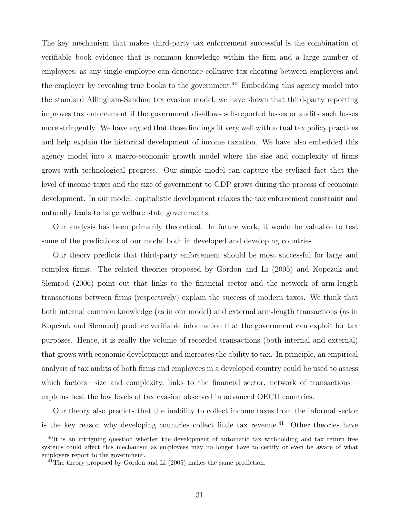The key mechanism that makes third-party tax enforcement successful is the combination of verifiable book evidence that is common knowledge within the firm and a large number of employees, as any single employee can denounce collusive tax cheating between employees and the employer by revealing true books to the government.<sup>40</sup> Embedding this agency model into the standard Allingham-Sandmo tax evasion model, we have shown that third-party reporting improves tax enforcement if the government disallows self-reported losses or audits such losses more stringently. We have argued that those findings fit very well with actual tax policy practices and help explain the historical development of income taxation. We have also embedded this agency model into a macro-economic growth model where the size and complexity of firms grows with technological progress. Our simple model can capture the stylized fact that the level of income taxes and the size of government to GDP grows during the process of economic development. In our model, capitalistic development relaxes the tax enforcement constraint and naturally leads to large welfare state governments.

Our analysis has been primarily theoretical. In future work, it would be valuable to test some of the predictions of our model both in developed and developing countries.

Our theory predicts that third-party enforcement should be most successful for large and complex firms. The related theories proposed by Gordon and Li (2005) and Kopczuk and Slemrod (2006) point out that links to the financial sector and the network of arm-length transactions between firms (respectively) explain the success of modern taxes. We think that both internal common knowledge (as in our model) and external arm-length transactions (as in Kopczuk and Slemrod) produce verifiable information that the government can exploit for tax purposes. Hence, it is really the volume of recorded transactions (both internal and external) that grows with economic development and increases the ability to tax. In principle, an empirical analysis of tax audits of both firms and employees in a developed country could be used to assess which factors—size and complexity, links to the financial sector, network of transactions explains best the low levels of tax evasion observed in advanced OECD countries.

Our theory also predicts that the inability to collect income taxes from the informal sector is the key reason why developing countries collect little tax revenue.<sup>41</sup> Other theories have

<sup>&</sup>lt;sup>40</sup>It is an intriguing question whether the development of automatic tax withholding and tax return free systems could affect this mechanism as employees may no longer have to certify or even be aware of what employers report to the government.

 $^{41}$ The theory proposed by Gordon and Li (2005) makes the same prediction.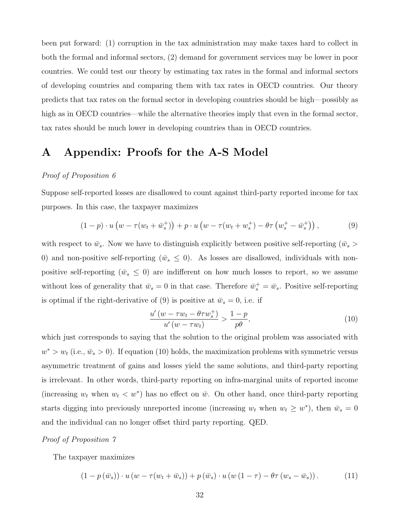been put forward: (1) corruption in the tax administration may make taxes hard to collect in both the formal and informal sectors, (2) demand for government services may be lower in poor countries. We could test our theory by estimating tax rates in the formal and informal sectors of developing countries and comparing them with tax rates in OECD countries. Our theory predicts that tax rates on the formal sector in developing countries should be high—possibly as high as in OECD countries—while the alternative theories imply that even in the formal sector, tax rates should be much lower in developing countries than in OECD countries.

# A Appendix: Proofs for the A-S Model

# Proof of Proposition 6

Suppose self-reported losses are disallowed to count against third-party reported income for tax purposes. In this case, the taxpayer maximizes

$$
(1-p) \cdot u \left( w - \tau (w_t + \bar{w}_s^+) \right) + p \cdot u \left( w - \tau (w_t + w_s^+) - \theta \tau \left( w_s^+ - \bar{w}_s^+ \right) \right), \tag{9}
$$

with respect to  $\bar{w}_s$ . Now we have to distinguish explicitly between positive self-reporting  $(\bar{w}_s >$ 0) and non-positive self-reporting ( $\bar{w}_s \le 0$ ). As losses are disallowed, individuals with nonpositive self-reporting ( $\bar{w}_s \leq 0$ ) are indifferent on how much losses to report, so we assume without loss of generality that  $\bar{w}_s = 0$  in that case. Therefore  $\bar{w}_s^+ = \bar{w}_s$ . Positive self-reporting is optimal if the right-derivative of (9) is positive at  $\bar{w}_s = 0$ , i.e. if

$$
\frac{u'(w - \tau w_t - \theta \tau w_s^+)}{u'(w - \tau w_t)} > \frac{1 - p}{p\theta},\tag{10}
$$

which just corresponds to saying that the solution to the original problem was associated with  $w^* > w_t$  (i.e.,  $\bar{w}_s > 0$ ). If equation (10) holds, the maximization problems with symmetric versus asymmetric treatment of gains and losses yield the same solutions, and third-party reporting is irrelevant. In other words, third-party reporting on infra-marginal units of reported income (increasing  $w_t$  when  $w_t < w^*$ ) has no effect on  $\bar{w}$ . On other hand, once third-party reporting starts digging into previously unreported income (increasing  $w_t$  when  $w_t \geq w^*$ ), then  $\bar{w}_s = 0$ and the individual can no longer offset third party reporting. QED.

# Proof of Proposition 7

The taxpayer maximizes

$$
(1 - p(\bar{w}_s)) \cdot u(w - \tau(w_t + \bar{w}_s)) + p(\bar{w}_s) \cdot u(w(1 - \tau) - \theta \tau(w_s - \bar{w}_s)). \tag{11}
$$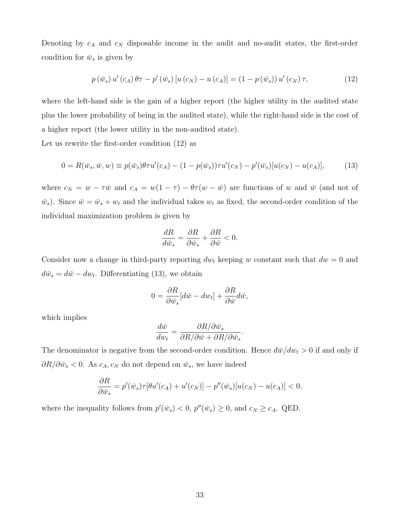Denoting by  $c_A$  and  $c_N$  disposable income in the audit and no-audit states, the first-order condition for  $\bar{w}_s$  is given by

$$
p(\bar{w}_s) u'(c_A) \theta \tau - p'(\bar{w}_s) [u(c_N) - u(c_A)] = (1 - p(\bar{w}_s)) u'(c_N) \tau,
$$
\n(12)

where the left-hand side is the gain of a higher report (the higher utility in the audited state plus the lower probability of being in the audited state), while the right-hand side is the cost of a higher report (the lower utility in the non-audited state).

Let us rewrite the first-order condition (12) as

$$
0 = R(\bar{w}_s, \bar{w}, w) \equiv p(\bar{w}_s)\theta \tau u'(c_A) - (1 - p(\bar{w}_s))\tau u'(c_N) - p'(\bar{w}_s)[u(c_N) - u(c_A)],\tag{13}
$$

where  $c_N = w - \tau \bar{w}$  and  $c_A = w(1 - \tau) - \theta \tau (w - \bar{w})$  are functions of w and  $\bar{w}$  (and not of  $\bar{w}_s$ ). Since  $\bar{w} = \bar{w}_s + w_t$  and the individual takes  $w_t$  as fixed, the second-order condition of the individual maximization problem is given by

$$
\frac{dR}{d\bar{w}_s} = \frac{\partial R}{\partial \bar{w}_s} + \frac{\partial R}{\partial \bar{w}} < 0.
$$

Consider now a change in third-party reporting  $dw_t$  keeping w constant such that  $dw = 0$  and  $d\bar{w}_s = d\bar{w} - dw_t$ . Differentiating (13), we obtain

$$
0 = \frac{\partial R}{\partial \bar{w}_s} [d\bar{w} - dw_t] + \frac{\partial R}{\partial \bar{w}} d\bar{w},
$$

which implies

$$
\frac{d\bar{w}}{dw_t} = \frac{\partial R/\partial \bar{w}_s}{\partial R/\partial \bar{w} + \partial R/\partial \bar{w}_s}
$$

.

The denominator is negative from the second-order condition. Hence  $d\bar{w}/dw_t > 0$  if and only if  $\partial R/\partial \bar{w}_s < 0$ . As  $c_A, c_N$  do not depend on  $\bar{w}_s$ , we have indeed

$$
\frac{\partial R}{\partial \bar{w}_s} = p'(\bar{w}_s)\tau[\theta u'(c_A) + u'(c_N)] - p''(\bar{w}_s)[u(c_N) - u(c_A)] < 0,
$$

where the inequality follows from  $p'(\bar{w}_s) < 0$ ,  $p''(\bar{w}_s) \ge 0$ , and  $c_N \ge c_A$ . QED.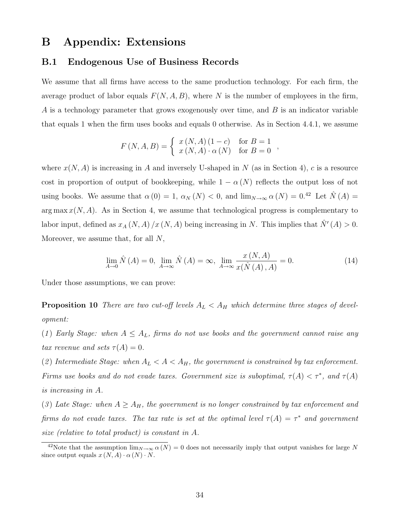# B Appendix: Extensions

# B.1 Endogenous Use of Business Records

We assume that all firms have access to the same production technology. For each firm, the average product of labor equals  $F(N, A, B)$ , where N is the number of employees in the firm, A is a technology parameter that grows exogenously over time, and B is an indicator variable that equals 1 when the firm uses books and equals 0 otherwise. As in Section 4.4.1, we assume

$$
F(N, A, B) = \begin{cases} x(N, A) (1 - c) & \text{for } B = 1 \\ x(N, A) \cdot \alpha(N) & \text{for } B = 0 \end{cases}
$$

where  $x(N, A)$  is increasing in A and inversely U-shaped in N (as in Section 4), c is a resource cost in proportion of output of bookkeeping, while  $1 - \alpha(N)$  reflects the output loss of not using books. We assume that  $\alpha(0) = 1$ ,  $\alpha_N(N) < 0$ , and  $\lim_{N\to\infty} \alpha(N) = 0.42$  Let  $\hat{N}(A) =$ arg max  $x(N, A)$ . As in Section 4, we assume that technological progress is complementary to labor input, defined as  $x_A(N, A)/x(N, A)$  being increasing in N. This implies that  $\hat{N}'(A) > 0$ . Moreover, we assume that, for all  $N$ ,

$$
\lim_{A \to 0} \hat{N}(A) = 0, \lim_{A \to \infty} \hat{N}(A) = \infty, \lim_{A \to \infty} \frac{x(N, A)}{x(\hat{N}(A), A)} = 0.
$$
\n(14)

Under those assumptions, we can prove:

**Proposition 10** There are two cut-off levels  $A_L < A_H$  which determine three stages of development:

(1) Early Stage: when  $A \leq A_L$ , firms do not use books and the government cannot raise any tax revenue and sets  $\tau(A) = 0$ .

(2) Intermediate Stage: when  $A_L < A < A_H$ , the government is constrained by tax enforcement. Firms use books and do not evade taxes. Government size is suboptimal,  $\tau(A) < \tau^*$ , and  $\tau(A)$ is increasing in A.

(3) Late Stage: when  $A \geq A_H$ , the government is no longer constrained by tax enforcement and firms do not evade taxes. The tax rate is set at the optimal level  $\tau(A) = \tau^*$  and government size (relative to total product) is constant in A.

<sup>&</sup>lt;sup>42</sup>Note that the assumption  $\lim_{N\to\infty} \alpha(N) = 0$  does not necessarily imply that output vanishes for large N since output equals  $x(N, A) \cdot \alpha(N) \cdot N$ .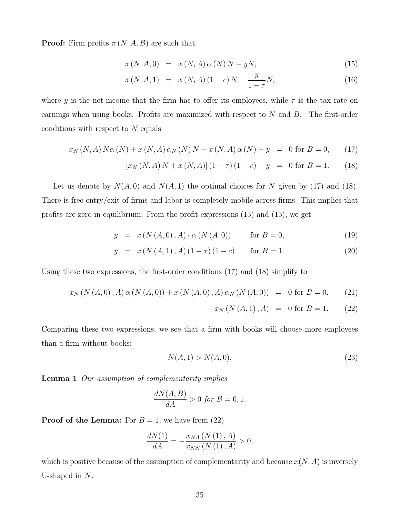**Proof:** Firm profits  $\pi(N, A, B)$  are such that

$$
\pi(N, A, 0) = x(N, A) \alpha(N) N - yN, \qquad (15)
$$

$$
\pi(N, A, 1) = x(N, A)(1 - c)N - \frac{y}{1 - \tau}N, \tag{16}
$$

where y is the net-income that the firm has to offer its employees, while  $\tau$  is the tax rate on earnings when using books. Profits are maximized with respect to  $N$  and  $B$ . The first-order conditions with respect to  $N$  equals

$$
x_N(N, A) N\alpha(N) + x(N, A) \alpha_N(N) N + x(N, A) \alpha(N) - y = 0 \text{ for } B = 0,
$$
 (17)

$$
[x_N(N, A) N + x (N, A)] (1 - \tau) (1 - c) - y = 0 \text{ for } B = 1.
$$
 (18)

Let us denote by  $N(A, 0)$  and  $N(A, 1)$  the optimal choices for N given by (17) and (18). There is free entry/exit of firms and labor is completely mobile across firms. This implies that profits are zero in equilibrium. From the profit expressions (15) and (15), we get

$$
y = x (N (A, 0), A) \cdot \alpha (N (A, 0)) \quad \text{for } B = 0,
$$
 (19)

$$
y = x (N (A, 1), A) (1 - \tau) (1 - c) \quad \text{for } B = 1.
$$
 (20)

Using these two expressions, the first-order conditions (17) and (18) simplify to

$$
x_N(N(A,0),A) \alpha (N(A,0)) + x (N(A,0),A) \alpha_N (N(A,0)) = 0 \text{ for } B = 0,
$$
 (21)

$$
x_N(N(A,1),A) = 0 \text{ for } B = 1.
$$
 (22)

Comparing these two expressions, we see that a firm with books will choose more employees than a firm without books:

$$
N(A,1) > N(A,0). \tag{23}
$$

Lemma 1 Our assumption of complementarity implies

$$
\frac{dN(A,B)}{dA} > 0 \text{ for } B = 0, 1.
$$

**Proof of the Lemma:** For  $B = 1$ , we have from (22)

$$
\frac{dN(1)}{dA} = -\frac{x_{NA}(N(1), A)}{x_{NN}(N(1), A)} > 0,
$$

which is positive because of the assumption of complementarity and because  $x(N, A)$  is inversely U-shaped in N.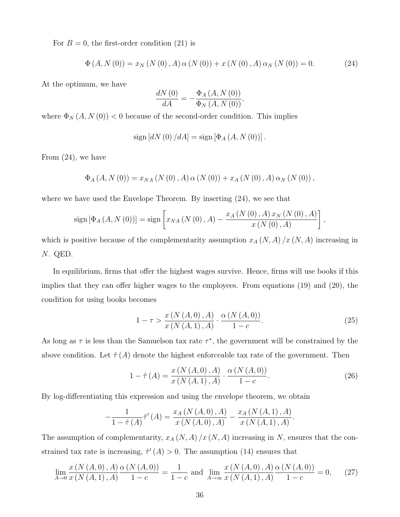For  $B = 0$ , the first-order condition (21) is

$$
\Phi(A, N(0)) = x_N (N(0), A) \alpha (N(0)) + x (N(0), A) \alpha_N (N(0)) = 0.
$$
 (24)

At the optimum, we have

$$
\frac{dN\left(0\right)}{dA} = -\frac{\Phi_A\left(A, N\left(0\right)\right)}{\Phi_N\left(A, N\left(0\right)\right)},
$$

where  $\Phi_N(A, N(0))$  < 0 because of the second-order condition. This implies

$$
sign [dN (0) / dA] = sign [\Phi_A (A, N (0))].
$$

From (24), we have

$$
\Phi_{A}(A, N(0)) = x_{NA}(N(0), A) \alpha (N(0)) + x_{A}(N(0), A) \alpha_{N}(N(0)),
$$

where we have used the Envelope Theorem. By inserting (24), we see that

$$
sign [\Phi_A (A, N(0))] = sign \left[ x_{NA} (N(0), A) - \frac{x_A (N(0), A) x_N (N(0), A)}{x (N(0), A)} \right],
$$

which is positive because of the complementarity assumption  $x_A (N, A) / x (N, A)$  increasing in N. QED.

In equilibrium, firms that offer the highest wages survive. Hence, firms will use books if this implies that they can offer higher wages to the employees. From equations (19) and (20), the condition for using books becomes

$$
1 - \tau > \frac{x (N (A, 0), A)}{x (N (A, 1), A)} \cdot \frac{\alpha (N (A, 0))}{1 - c}.
$$
 (25)

As long as  $\tau$  is less than the Samuelson tax rate  $\tau^*$ , the government will be constrained by the above condition. Let  $\hat{\tau}(A)$  denote the highest enforceable tax rate of the government. Then

$$
1 - \hat{\tau}(A) = \frac{x(N(A,0), A)}{x(N(A,1), A)} \cdot \frac{\alpha(N(A,0))}{1 - c}.
$$
 (26)

By log-differentiating this expression and using the envelope theorem, we obtain

$$
-\frac{1}{1-\hat{\tau}(A)}\hat{\tau}'(A) = \frac{x_A(N(A,0),A)}{x(N(A,0),A)} - \frac{x_A(N(A,1),A)}{x(N(A,1),A)}.
$$

The assumption of complementarity,  $x_A (N, A) / x (N, A)$  increasing in N, ensures that the constrained tax rate is increasing,  $\hat{\tau}'(A) > 0$ . The assumption (14) ensures that

$$
\lim_{A \to 0} \frac{x (N (A, 0), A)}{x (N (A, 1), A)} \frac{\alpha (N (A, 0))}{1 - c} = \frac{1}{1 - c} \text{ and } \lim_{A \to \infty} \frac{x (N (A, 0), A)}{x (N (A, 1), A)} \frac{\alpha (N (A, 0))}{1 - c} = 0,
$$
 (27)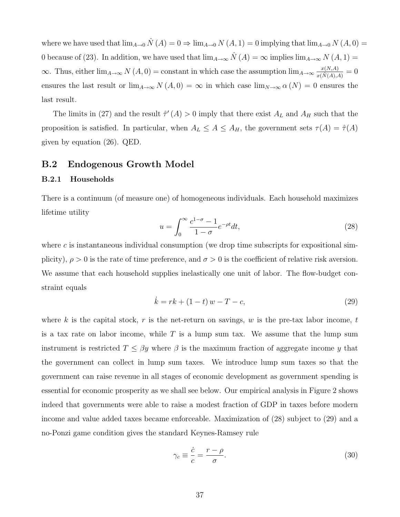where we have used that  $\lim_{A\to 0} \hat{N}(A) = 0 \Rightarrow \lim_{A\to 0} N(A, 1) = 0$  implying that  $\lim_{A\to 0} N(A, 0) =$ 0 because of (23). In addition, we have used that  $\lim_{A\to\infty} \hat{N}(A) = \infty$  implies  $\lim_{A\to\infty} N(A, 1) =$  $\infty$ . Thus, either  $\lim_{A\to\infty} N(A,0) = \text{constant}$  in which case the assumption  $\lim_{A\to\infty} \frac{x(N,A)}{x(N,A)}$  $\frac{x(N,A)}{x(N(A),A)}=0$ ensures the last result or  $\lim_{A\to\infty} N(A, 0) = \infty$  in which case  $\lim_{N\to\infty} \alpha(N) = 0$  ensures the last result.

The limits in (27) and the result  $\hat{\tau}'(A) > 0$  imply that there exist  $A_L$  and  $A_H$  such that the proposition is satisfied. In particular, when  $A_L \leq A \leq A_H$ , the government sets  $\tau(A) = \hat{\tau}(A)$ given by equation (26). QED.

# B.2 Endogenous Growth Model

# B.2.1 Households

There is a continuum (of measure one) of homogeneous individuals. Each household maximizes lifetime utility

$$
u = \int_0^\infty \frac{c^{1-\sigma} - 1}{1 - \sigma} e^{-\rho t} dt,\tag{28}
$$

where c is instantaneous individual consumption (we drop time subscripts for expositional simplicity),  $\rho > 0$  is the rate of time preference, and  $\sigma > 0$  is the coefficient of relative risk aversion. We assume that each household supplies inelastically one unit of labor. The flow-budget constraint equals

$$
\dot{k} = rk + (1 - t)w - T - c,\tag{29}
$$

where k is the capital stock, r is the net-return on savings, w is the pre-tax labor income, t is a tax rate on labor income, while  $T$  is a lump sum tax. We assume that the lump sum instrument is restricted  $T \leq \beta y$  where  $\beta$  is the maximum fraction of aggregate income y that the government can collect in lump sum taxes. We introduce lump sum taxes so that the government can raise revenue in all stages of economic development as government spending is essential for economic prosperity as we shall see below. Our empirical analysis in Figure 2 shows indeed that governments were able to raise a modest fraction of GDP in taxes before modern income and value added taxes became enforceable. Maximization of (28) subject to (29) and a no-Ponzi game condition gives the standard Keynes-Ramsey rule

$$
\gamma_c \equiv \frac{\dot{c}}{c} = \frac{r - \rho}{\sigma}.\tag{30}
$$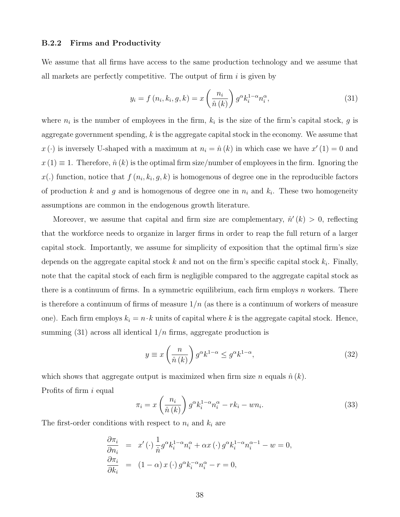### B.2.2 Firms and Productivity

We assume that all firms have access to the same production technology and we assume that all markets are perfectly competitive. The output of firm  $i$  is given by

$$
y_i = f\left(n_i, k_i, g, k\right) = x\left(\frac{n_i}{\hat{n}\left(k\right)}\right)g^{\alpha}k_i^{1-\alpha}n_i^{\alpha},\tag{31}
$$

where  $n_i$  is the number of employees in the firm,  $k_i$  is the size of the firm's capital stock, g is aggregate government spending,  $k$  is the aggregate capital stock in the economy. We assume that  $x(\cdot)$  is inversely U-shaped with a maximum at  $n_i = \hat{n}(k)$  in which case we have  $x'(1) = 0$  and  $x(1) \equiv 1$ . Therefore,  $\hat{n}(k)$  is the optimal firm size/number of employees in the firm. Ignoring the  $x(.)$  function, notice that  $f(n_i, k_i, g, k)$  is homogenous of degree one in the reproducible factors of production k and g and is homogenous of degree one in  $n_i$  and  $k_i$ . These two homogeneity assumptions are common in the endogenous growth literature.

Moreover, we assume that capital and firm size are complementary,  $\hat{n}'(k) > 0$ , reflecting that the workforce needs to organize in larger firms in order to reap the full return of a larger capital stock. Importantly, we assume for simplicity of exposition that the optimal firm's size depends on the aggregate capital stock  $k$  and not on the firm's specific capital stock  $k_i$ . Finally, note that the capital stock of each firm is negligible compared to the aggregate capital stock as there is a continuum of firms. In a symmetric equilibrium, each firm employs  $n$  workers. There is therefore a continuum of firms of measure  $1/n$  (as there is a continuum of workers of measure one). Each firm employs  $k_i = n \cdot k$  units of capital where k is the aggregate capital stock. Hence, summing (31) across all identical  $1/n$  firms, aggregate production is

$$
y \equiv x \left(\frac{n}{\hat{n}(k)}\right) g^{\alpha} k^{1-\alpha} \leq g^{\alpha} k^{1-\alpha},\tag{32}
$$

which shows that aggregate output is maximized when firm size n equals  $\hat{n}(k)$ .

Profits of firm i equal

$$
\pi_i = x \left(\frac{n_i}{\hat{n}(k)}\right) g^{\alpha} k_i^{1-\alpha} n_i^{\alpha} - r k_i - w n_i.
$$
\n(33)

The first-order conditions with respect to  $n_i$  and  $k_i$  are

$$
\frac{\partial \pi_i}{\partial n_i} = x'(\cdot) \frac{1}{\hat{n}} g^{\alpha} k_i^{1-\alpha} n_i^{\alpha} + \alpha x(\cdot) g^{\alpha} k_i^{1-\alpha} n_i^{\alpha-1} - w = 0,
$$
  

$$
\frac{\partial \pi_i}{\partial k_i} = (1 - \alpha) x(\cdot) g^{\alpha} k_i^{-\alpha} n_i^{\alpha} - r = 0,
$$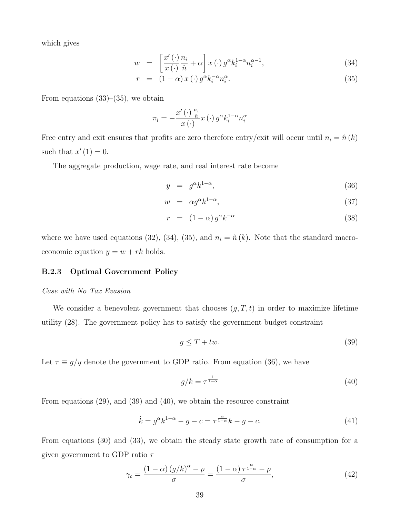which gives

$$
w = \left[\frac{x'(\cdot)}{x(\cdot)}\frac{n_i}{\hat{n}} + \alpha\right]x(\cdot) g^{\alpha} k_i^{1-\alpha} n_i^{\alpha-1}, \tag{34}
$$

$$
r = (1 - \alpha) x (\cdot) g^{\alpha} k_i^{-\alpha} n_i^{\alpha}.
$$
 (35)

From equations  $(33)$ – $(35)$ , we obtain

$$
\pi_i = -\frac{x'\left(\cdot\right)\frac{n_i}{\hat{n}}}{x\left(\cdot\right)}x\left(\cdot\right)g^{\alpha}k_i^{1-\alpha}n_i^{\alpha}
$$

Free entry and exit ensures that profits are zero therefore entry/exit will occur until  $n_i = \hat{n}(k)$ such that  $x'(1) = 0$ .

The aggregate production, wage rate, and real interest rate become

$$
y = g^{\alpha} k^{1-\alpha}, \tag{36}
$$

$$
w = \alpha g^{\alpha} k^{1-\alpha}, \tag{37}
$$

$$
r = (1 - \alpha) g^{\alpha} k^{-\alpha} \tag{38}
$$

where we have used equations (32), (34), (35), and  $n_i = \hat{n}(k)$ . Note that the standard macroeconomic equation  $y = w + rk$  holds.

# B.2.3 Optimal Government Policy

#### Case with No Tax Evasion

We consider a benevolent government that chooses  $(g, T, t)$  in order to maximize lifetime utility (28). The government policy has to satisfy the government budget constraint

$$
g \le T + tw. \tag{39}
$$

Let  $\tau \equiv g/y$  denote the government to GDP ratio. From equation (36), we have

$$
g/k = \tau^{\frac{1}{1-\alpha}} \tag{40}
$$

From equations (29), and (39) and (40), we obtain the resource constraint

$$
\dot{k} = g^{\alpha}k^{1-\alpha} - g - c = \tau^{\frac{\alpha}{1-\alpha}}k - g - c. \tag{41}
$$

From equations (30) and (33), we obtain the steady state growth rate of consumption for a given government to GDP ratio  $\tau$ 

$$
\gamma_c = \frac{\left(1 - \alpha\right)\left(g/k\right)^{\alpha} - \rho}{\sigma} = \frac{\left(1 - \alpha\right)\tau^{\frac{\alpha}{1 - \alpha}} - \rho}{\sigma},\tag{42}
$$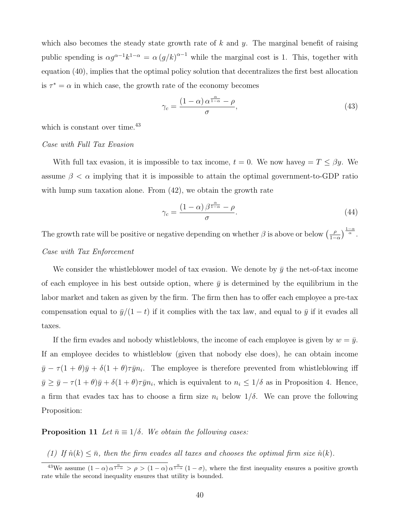which also becomes the steady state growth rate of  $k$  and  $y$ . The marginal benefit of raising public spending is  $\alpha g^{\alpha-1}k^{1-\alpha} = \alpha (g/k)^{\alpha-1}$  while the marginal cost is 1. This, together with equation (40), implies that the optimal policy solution that decentralizes the first best allocation is  $\tau^* = \alpha$  in which case, the growth rate of the economy becomes

$$
\gamma_c = \frac{(1 - \alpha) \alpha^{\frac{\alpha}{1 - \alpha}} - \rho}{\sigma},\tag{43}
$$

which is constant over time.<sup>43</sup>

#### Case with Full Tax Evasion

With full tax evasion, it is impossible to tax income,  $t = 0$ . We now have  $g = T \le \beta y$ . We assume  $\beta < \alpha$  implying that it is impossible to attain the optimal government-to-GDP ratio with lump sum taxation alone. From  $(42)$ , we obtain the growth rate

$$
\gamma_c = \frac{(1 - \alpha)\beta^{\frac{\alpha}{1 - \alpha}} - \rho}{\sigma}.
$$
\n(44)

The growth rate will be positive or negative depending on whether  $\beta$  is above or below  $\left(\frac{\beta}{\beta}\right)$  $\frac{\rho}{1-\alpha}\Big)^{\frac{1-\alpha}{\alpha}}$ . Case with Tax Enforcement

We consider the whistleblower model of tax evasion. We denote by  $\bar{y}$  the net-of-tax income of each employee in his best outside option, where  $\bar{y}$  is determined by the equilibrium in the labor market and taken as given by the firm. The firm then has to offer each employee a pre-tax compensation equal to  $\bar{y}/(1-t)$  if it complies with the tax law, and equal to  $\bar{y}$  if it evades all taxes.

If the firm evades and nobody whistleblows, the income of each employee is given by  $w = \bar{y}$ . If an employee decides to whistleblow (given that nobody else does), he can obtain income  $\bar{y} - \tau (1 + \theta) \bar{y} + \delta (1 + \theta) \tau \bar{y} n_i$ . The employee is therefore prevented from whistleblowing iff  $\bar{y} \ge \bar{y} - \tau (1 + \theta) \bar{y} + \delta (1 + \theta) \tau \bar{y} n_i$ , which is equivalent to  $n_i \le 1/\delta$  as in Proposition 4. Hence, a firm that evades tax has to choose a firm size  $n_i$  below  $1/\delta$ . We can prove the following Proposition:

**Proposition 11** Let  $\bar{n} \equiv 1/\delta$ . We obtain the following cases:

(1) If  $\hat{n}(k) \leq \bar{n}$ , then the firm evades all taxes and chooses the optimal firm size  $\hat{n}(k)$ .

<sup>&</sup>lt;sup>43</sup>We assume  $(1-\alpha)\alpha^{\frac{\alpha}{1-\alpha}} > \rho > (1-\alpha)\alpha^{\frac{\alpha}{1-\alpha}}(1-\sigma)$ , where the first inequality ensures a positive growth rate while the second inequality ensures that utility is bounded.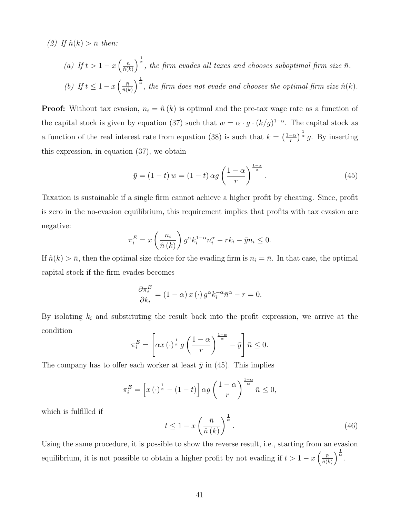(2) If  $\hat{n}(k) > \bar{n}$  then:

\n- (a) If 
$$
t > 1 - x \left( \frac{\bar{n}}{\hat{n}(k)} \right)^{\frac{1}{\alpha}}
$$
, the firm evades all taxes and chooses suboptimal firm size  $\bar{n}$ .
\n- (b) If  $t \leq 1 - x \left( \frac{\bar{n}}{\hat{n}(k)} \right)^{\frac{1}{\alpha}}$ , the firm does not evade and chooses the optimal firm size  $\hat{n}(k)$ .
\n

**Proof:** Without tax evasion,  $n_i = \hat{n}(k)$  is optimal and the pre-tax wage rate as a function of the capital stock is given by equation (37) such that  $w = \alpha \cdot g \cdot (k/g)^{1-\alpha}$ . The capital stock as a function of the real interest rate from equation (38) is such that  $k = \left(\frac{1-\alpha}{r}\right)$  $(\frac{-\alpha}{r})^{\frac{1}{\alpha}} g$ . By inserting this expression, in equation (37), we obtain

$$
\bar{y} = (1 - t) w = (1 - t) \alpha g \left(\frac{1 - \alpha}{r}\right)^{\frac{1 - \alpha}{\alpha}}.
$$
\n(45)

Taxation is sustainable if a single firm cannot achieve a higher profit by cheating. Since, profit is zero in the no-evasion equilibrium, this requirement implies that profits with tax evasion are negative:

$$
\pi_i^E = x \left(\frac{n_i}{\hat{n}(k)}\right) g^{\alpha} k_i^{1-\alpha} n_i^{\alpha} - r k_i - \bar{y} n_i \le 0.
$$

If  $\hat{n}(k) > \bar{n}$ , then the optimal size choice for the evading firm is  $n_i = \bar{n}$ . In that case, the optimal capital stock if the firm evades becomes

$$
\frac{\partial \pi_i^E}{\partial k_i} = (1 - \alpha) x (\cdot) g^{\alpha} k_i^{-\alpha} \bar{n}^{\alpha} - r = 0.
$$

By isolating  $k_i$  and substituting the result back into the profit expression, we arrive at the condition

$$
\pi_i^E = \left[ \alpha x \left( \cdot \right)^{\frac{1}{\alpha}} g \left( \frac{1-\alpha}{r} \right)^{\frac{1-\alpha}{\alpha}} - \bar{y} \right] \bar{n} \le 0.
$$

The company has to offer each worker at least  $\bar{y}$  in (45). This implies

$$
\pi_i^E = \left[ x \left( \cdot \right)^{\frac{1}{\alpha}} - (1 - t) \right] \alpha g \left( \frac{1 - \alpha}{r} \right)^{\frac{1 - \alpha}{\alpha}} \bar{n} \le 0,
$$

which is fulfilled if

$$
t \le 1 - x \left(\frac{\bar{n}}{\hat{n}(k)}\right)^{\frac{1}{\alpha}}.\tag{46}
$$

Using the same procedure, it is possible to show the reverse result, i.e., starting from an evasion equilibrium, it is not possible to obtain a higher profit by not evading if  $t > 1 - x \left( \frac{\bar{n}}{\hat{n}} \right)$  $\frac{\bar{n}}{\hat{n}(k)}\bigg)^{\tfrac{1}{\alpha}}.$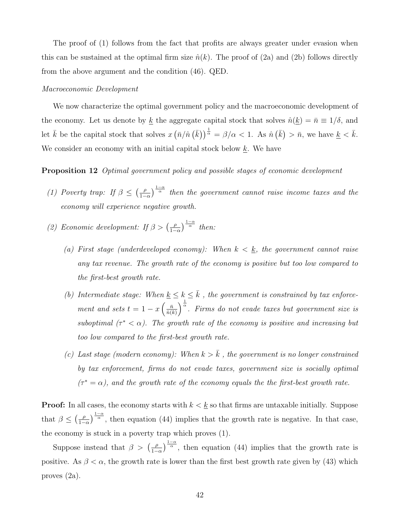The proof of (1) follows from the fact that profits are always greater under evasion when this can be sustained at the optimal firm size  $\hat{n}(k)$ . The proof of (2a) and (2b) follows directly from the above argument and the condition (46). QED.

#### Macroeconomic Development

We now characterize the optimal government policy and the macroeconomic development of the economy. Let us denote by <u>k</u> the aggregate capital stock that solves  $\hat{n}(\underline{k}) = \bar{n} \equiv 1/\delta$ , and let  $\bar{k}$  be the capital stock that solves  $x(\bar{n}/\hat{n}(\bar{k}))^{\frac{1}{\alpha}} = \beta/\alpha < 1$ . As  $\hat{n}(\bar{k}) > \bar{n}$ , we have  $\underline{k} < \bar{k}$ . We consider an economy with an initial capital stock below  $k$ . We have

# **Proposition 12** Optimal government policy and possible stages of economic development

- (1) Poverty trap: If  $\beta \leq (\frac{\rho}{1-\rho})$  $\frac{\rho}{1-\alpha}$   $\frac{1-\alpha}{\alpha}$  then the government cannot raise income taxes and the economy will experience negative growth.
- (2) Economic development: If  $\beta > \left(\frac{\rho}{1-\rho}\right)$  $\frac{\rho}{1-\alpha}$ ) $\frac{1-\alpha}{\alpha}$  then:
	- (a) First stage (underdeveloped economy): When  $k < \underline{k}$ , the government cannot raise any tax revenue. The growth rate of the economy is positive but too low compared to the first-best growth rate.
	- (b) Intermediate stage: When  $\underline{k} \leq k \leq \overline{k}$ , the government is constrained by tax enforcement and sets  $t = 1 - x \left( \frac{\bar{n}}{\hat{n}} \right)$  $\left(\frac{\bar{n}}{\hat{n}(k)}\right)^{\frac{1}{\alpha}}$ . Firms do not evade taxes but government size is suboptimal  $(\tau^* < \alpha)$ . The growth rate of the economy is positive and increasing but too low compared to the first-best growth rate.
	- (c) Last stage (modern economy): When  $k > \overline{k}$ , the government is no longer constrained by tax enforcement, firms do not evade taxes, government size is socially optimal  $(\tau^* = \alpha)$ , and the growth rate of the economy equals the the first-best growth rate.

**Proof:** In all cases, the economy starts with  $k < \underline{k}$  so that firms are untaxable initially. Suppose that  $\beta \leq (\frac{\rho}{1-\rho})$  $\frac{\rho}{1-\alpha}$   $\frac{1-\alpha}{\alpha}$ , then equation (44) implies that the growth rate is negative. In that case, the economy is stuck in a poverty trap which proves (1).

Suppose instead that  $\beta > \left(\frac{\rho}{1-\rho}\right)$  $\frac{\rho}{1-\alpha}$ , then equation (44) implies that the growth rate is positive. As  $\beta < \alpha$ , the growth rate is lower than the first best growth rate given by (43) which proves (2a).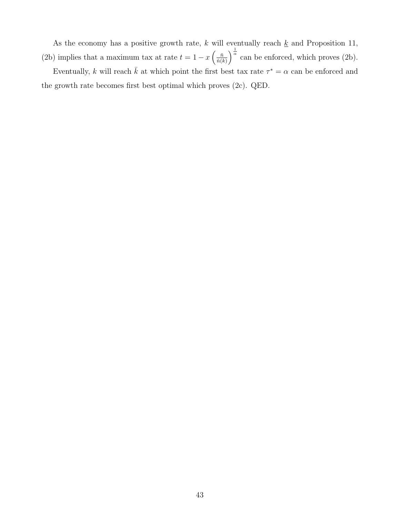As the economy has a positive growth rate, k will eventually reach  $\underline{k}$  and Proposition 11, (2b) implies that a maximum tax at rate  $t = 1 - x \left( \frac{\bar{n}}{\hat{n}} \right)$  $\frac{\bar{n}}{\hat{n}(k)}\Big)^{\frac{1}{\alpha}}$  can be enforced, which proves (2b). Eventually, k will reach  $\bar{k}$  at which point the first best tax rate  $\tau^* = \alpha$  can be enforced and

the growth rate becomes first best optimal which proves (2c). QED.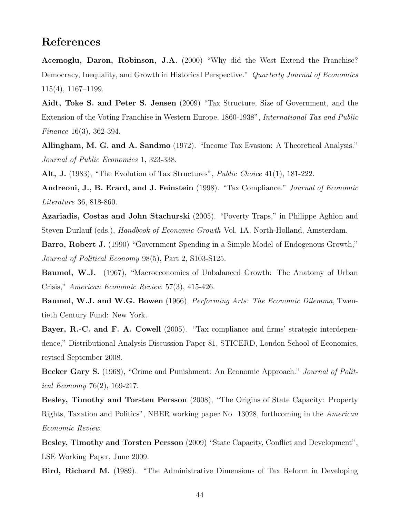# References

Acemoglu, Daron, Robinson, J.A. (2000) "Why did the West Extend the Franchise? Democracy, Inequality, and Growth in Historical Perspective." Quarterly Journal of Economics 115(4), 1167–1199.

Aidt, Toke S. and Peter S. Jensen (2009) "Tax Structure, Size of Government, and the Extension of the Voting Franchise in Western Europe, 1860-1938", International Tax and Public Finance 16(3), 362-394.

Allingham, M. G. and A. Sandmo (1972). "Income Tax Evasion: A Theoretical Analysis." Journal of Public Economics 1, 323-338.

Alt, J. (1983), "The Evolution of Tax Structures", *Public Choice* 41(1), 181-222.

Andreoni, J., B. Erard, and J. Feinstein (1998). "Tax Compliance." Journal of Economic Literature 36, 818-860.

Azariadis, Costas and John Stachurski (2005). "Poverty Traps," in Philippe Aghion and Steven Durlauf (eds.), Handbook of Economic Growth Vol. 1A, North-Holland, Amsterdam.

Barro, Robert J. (1990) "Government Spending in a Simple Model of Endogenous Growth," Journal of Political Economy 98(5), Part 2, S103-S125.

Baumol, W.J. (1967), "Macroeconomics of Unbalanced Growth: The Anatomy of Urban Crisis," American Economic Review 57(3), 415-426.

Baumol, W.J. and W.G. Bowen (1966), Performing Arts: The Economic Dilemma, Twentieth Century Fund: New York.

Bayer, R.-C. and F. A. Cowell (2005). "Tax compliance and firms' strategic interdependence," Distributional Analysis Discussion Paper 81, STICERD, London School of Economics, revised September 2008.

Becker Gary S. (1968), "Crime and Punishment: An Economic Approach." *Journal of Polit*ical Economy 76(2), 169-217.

Besley, Timothy and Torsten Persson (2008), "The Origins of State Capacity: Property Rights, Taxation and Politics", NBER working paper No. 13028, forthcoming in the American Economic Review.

Besley, Timothy and Torsten Persson (2009) "State Capacity, Conflict and Development", LSE Working Paper, June 2009.

Bird, Richard M. (1989). "The Administrative Dimensions of Tax Reform in Developing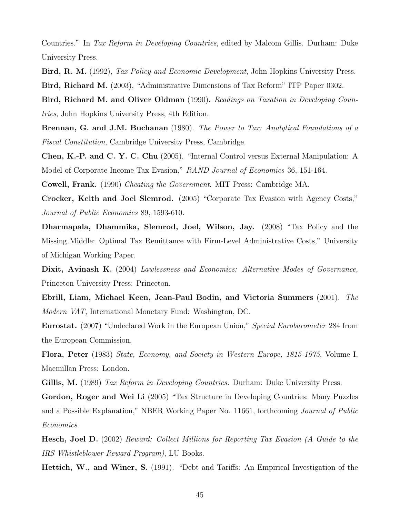Countries." In Tax Reform in Developing Countries, edited by Malcom Gillis. Durham: Duke University Press.

Bird, R. M. (1992), Tax Policy and Economic Development, John Hopkins University Press. Bird, Richard M. (2003), "Administrative Dimensions of Tax Reform" ITP Paper 0302.

Bird, Richard M. and Oliver Oldman (1990). Readings on Taxation in Developing Countries, John Hopkins University Press, 4th Edition.

Brennan, G. and J.M. Buchanan (1980). The Power to Tax: Analytical Foundations of a Fiscal Constitution, Cambridge University Press, Cambridge.

Chen, K.-P. and C. Y. C. Chu (2005). "Internal Control versus External Manipulation: A Model of Corporate Income Tax Evasion," RAND Journal of Economics 36, 151-164.

Cowell, Frank. (1990) Cheating the Government. MIT Press: Cambridge MA.

Crocker, Keith and Joel Slemrod. (2005) "Corporate Tax Evasion with Agency Costs," Journal of Public Economics 89, 1593-610.

Dharmapala, Dhammika, Slemrod, Joel, Wilson, Jay. (2008) "Tax Policy and the Missing Middle: Optimal Tax Remittance with Firm-Level Administrative Costs," University of Michigan Working Paper.

Dixit, Avinash K. (2004) Lawlessness and Economics: Alternative Modes of Governance, Princeton University Press: Princeton.

Ebrill, Liam, Michael Keen, Jean-Paul Bodin, and Victoria Summers (2001). The Modern VAT, International Monetary Fund: Washington, DC.

Eurostat. (2007) "Undeclared Work in the European Union," Special Eurobarometer 284 from the European Commission.

Flora, Peter (1983) State, Economy, and Society in Western Europe, 1815-1975, Volume I, Macmillan Press: London.

Gillis, M. (1989) Tax Reform in Developing Countries. Durham: Duke University Press.

Gordon, Roger and Wei Li (2005) "Tax Structure in Developing Countries: Many Puzzles and a Possible Explanation," NBER Working Paper No. 11661, forthcoming Journal of Public Economics.

Hesch, Joel D. (2002) Reward: Collect Millions for Reporting Tax Evasion (A Guide to the IRS Whistleblower Reward Program), LU Books.

Hettich, W., and Winer, S. (1991). "Debt and Tariffs: An Empirical Investigation of the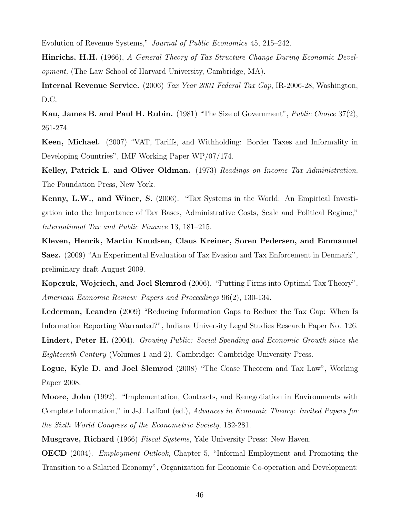Evolution of Revenue Systems," Journal of Public Economics 45, 215–242.

Hinrichs, H.H. (1966), A General Theory of Tax Structure Change During Economic Development, (The Law School of Harvard University, Cambridge, MA).

Internal Revenue Service. (2006) Tax Year 2001 Federal Tax Gap, IR-2006-28, Washington, D.C.

Kau, James B. and Paul H. Rubin. (1981) "The Size of Government", *Public Choice* 37(2), 261-274.

Keen, Michael. (2007) "VAT, Tariffs, and Withholding: Border Taxes and Informality in Developing Countries", IMF Working Paper WP/07/174.

Kelley, Patrick L. and Oliver Oldman. (1973) Readings on Income Tax Administration, The Foundation Press, New York.

Kenny, L.W., and Winer, S. (2006). "Tax Systems in the World: An Empirical Investigation into the Importance of Tax Bases, Administrative Costs, Scale and Political Regime," International Tax and Public Finance 13, 181–215.

Kleven, Henrik, Martin Knudsen, Claus Kreiner, Soren Pedersen, and Emmanuel Saez. (2009) "An Experimental Evaluation of Tax Evasion and Tax Enforcement in Denmark", preliminary draft August 2009.

Kopczuk, Wojciech, and Joel Slemrod (2006). "Putting Firms into Optimal Tax Theory", American Economic Review: Papers and Proceedings 96(2), 130-134.

Lederman, Leandra (2009) "Reducing Information Gaps to Reduce the Tax Gap: When Is Information Reporting Warranted?", Indiana University Legal Studies Research Paper No. 126.

Lindert, Peter H. (2004). Growing Public: Social Spending and Economic Growth since the Eighteenth Century (Volumes 1 and 2). Cambridge: Cambridge University Press.

Logue, Kyle D. and Joel Slemrod (2008) "The Coase Theorem and Tax Law", Working Paper 2008.

Moore, John (1992). "Implementation, Contracts, and Renegotiation in Environments with Complete Information," in J-J. Laffont (ed.), Advances in Economic Theory: Invited Papers for the Sixth World Congress of the Econometric Society, 182-281.

**Musgrave, Richard** (1966) *Fiscal Systems*, Yale University Press: New Haven.

OECD (2004). Employment Outlook, Chapter 5, "Informal Employment and Promoting the Transition to a Salaried Economy", Organization for Economic Co-operation and Development: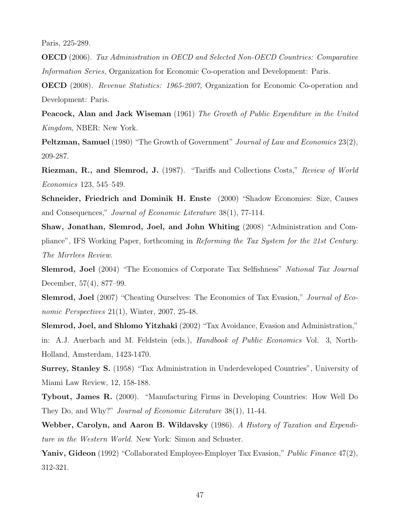Paris, 225-289.

OECD (2006). Tax Administration in OECD and Selected Non-OECD Countries: Comparative Information Series, Organization for Economic Co-operation and Development: Paris.

OECD (2008). Revenue Statistics: 1965-2007, Organization for Economic Co-operation and Development: Paris.

**Peacock, Alan and Jack Wiseman** (1961) The Growth of Public Expenditure in the United Kingdom, NBER: New York.

Peltzman, Samuel (1980) "The Growth of Government" Journal of Law and Economics 23(2), 209-287.

Riezman, R., and Slemrod, J. (1987). "Tariffs and Collections Costs," Review of World Economics 123, 545–549.

Schneider, Friedrich and Dominik H. Enste (2000) "Shadow Economies: Size, Causes and Consequences," Journal of Economic Literature 38(1), 77-114.

Shaw, Jonathan, Slemrod, Joel, and John Whiting (2008) "Administration and Compliance", IFS Working Paper, forthcoming in Reforming the Tax System for the 21st Century: The Mirrlees Review.

Slemrod, Joel (2004) "The Economics of Corporate Tax Selfishness" National Tax Journal December, 57(4), 877–99.

Slemrod, Joel (2007) "Cheating Ourselves: The Economics of Tax Evasion," Journal of Economic Perspectives 21(1), Winter, 2007, 25-48.

Slemrod, Joel, and Shlomo Yitzhaki (2002) "Tax Avoidance, Evasion and Administration,"

in: A.J. Auerbach and M. Feldstein (eds.), Handbook of Public Economics Vol. 3, North-Holland, Amsterdam, 1423-1470.

Surrey, Stanley S. (1958) "Tax Administration in Underdeveloped Countries", University of Miami Law Review, 12, 158-188.

Tybout, James R. (2000). "Manufacturing Firms in Developing Countries: How Well Do They Do, and Why?" *Journal of Economic Literature* 38(1), 11-44.

Webber, Carolyn, and Aaron B. Wildavsky (1986). A History of Taxation and Expenditure in the Western World. New York: Simon and Schuster.

Yaniv, Gideon (1992) "Collaborated Employee-Employer Tax Evasion," *Public Finance* 47(2), 312-321.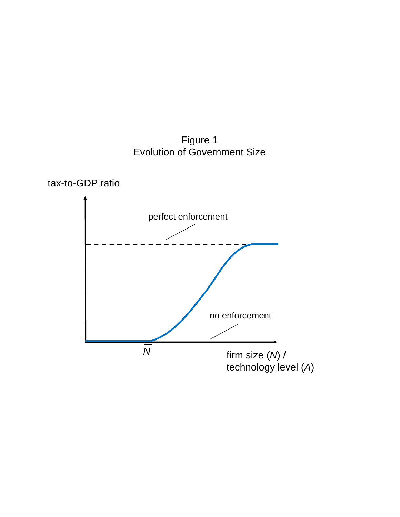Figure 1 Evolution of Government Size



tax-to-GDP ratio